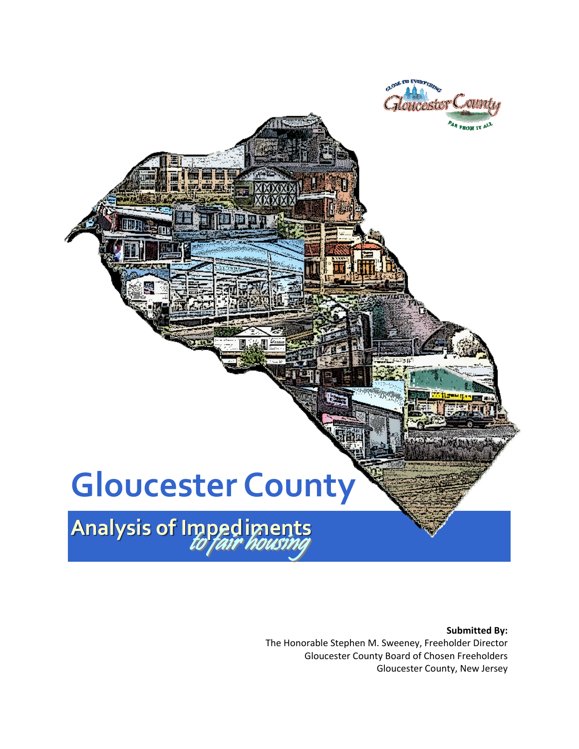

#### **Submitted By:** The Honorable Stephen M. Sweeney, Freeholder Director Gloucester County Board of Chosen Freeholders Gloucester County, New Jersey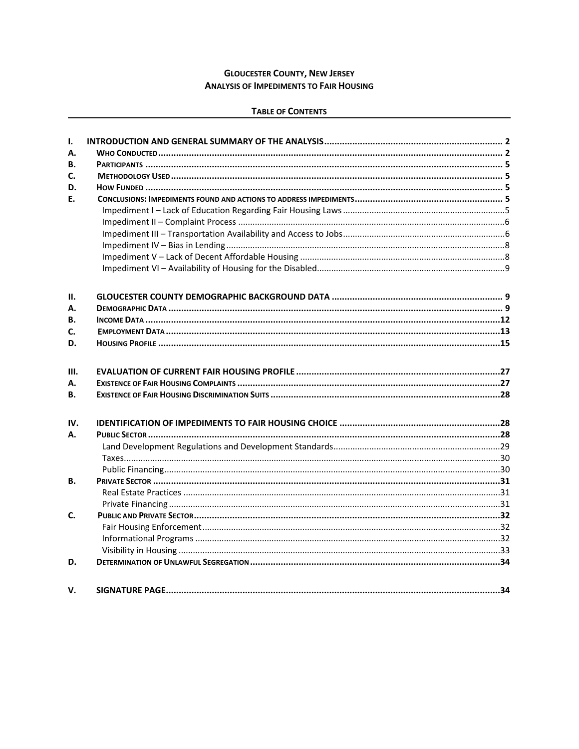#### **GLOUCESTER COUNTY, NEW JERSEY ANALYSIS OF IMPEDIMENTS TO FAIR HOUSING**

#### **TABLE OF CONTENTS**

| I.           |  |
|--------------|--|
| А.           |  |
| В.           |  |
| $\mathbf{C}$ |  |
| D.           |  |
| F.           |  |
|              |  |
|              |  |
|              |  |
|              |  |
|              |  |
|              |  |
| П.           |  |
| А.           |  |
| В.           |  |
| C.           |  |
| D.           |  |
| Ш.           |  |
| А.           |  |
| <b>B.</b>    |  |
| IV.          |  |
| А.           |  |
|              |  |
|              |  |
|              |  |
| В.           |  |
|              |  |
|              |  |
| $\mathbf{C}$ |  |
|              |  |
|              |  |
|              |  |
| D.           |  |
| v.           |  |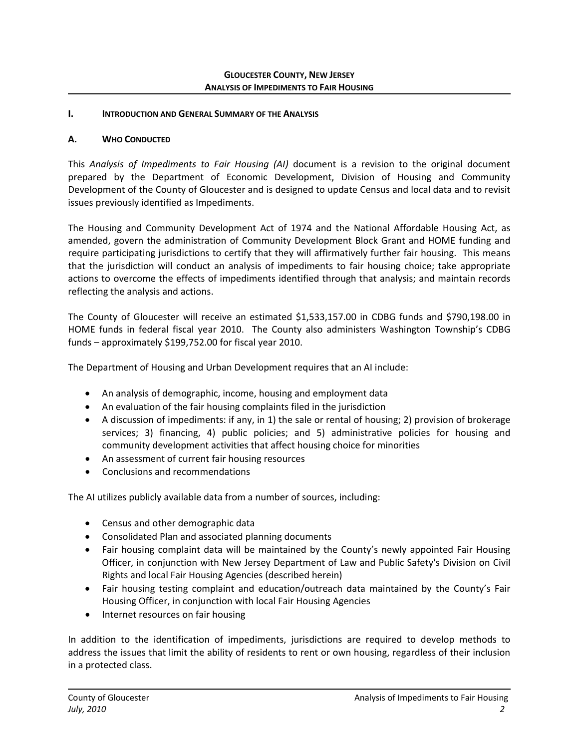#### <span id="page-2-0"></span>**I. INTRODUCTION AND GENERAL SUMMARY OF THE ANALYSIS**

#### <span id="page-2-1"></span>**A. WHO CONDUCTED**

This *Analysis of Impediments to Fair Housing (AI)* document is a revision to the original document prepared by the Department of Economic Development, Division of Housing and Community Development of the County of Gloucester and is designed to update Census and local data and to revisit issues previously identified as Impediments.

The Housing and Community Development Act of 1974 and the National Affordable Housing Act, as amended, govern the administration of Community Development Block Grant and HOME funding and require participating jurisdictions to certify that they will affirmatively further fair housing. This means that the jurisdiction will conduct an analysis of impediments to fair housing choice; take appropriate actions to overcome the effects of impediments identified through that analysis; and maintain records reflecting the analysis and actions.

The County of Gloucester will receive an estimated \$1,533,157.00 in CDBG funds and \$790,198.00 in HOME funds in federal fiscal year 2010. The County also administers Washington Township's CDBG funds – approximately \$199,752.00 for fiscal year 2010.

The Department of Housing and Urban Development requires that an AI include:

- An analysis of demographic, income, housing and employment data
- An evaluation of the fair housing complaints filed in the jurisdiction
- A discussion of impediments: if any, in 1) the sale or rental of housing; 2) provision of brokerage services; 3) financing, 4) public policies; and 5) administrative policies for housing and community development activities that affect housing choice for minorities
- An assessment of current fair housing resources
- Conclusions and recommendations

The AI utilizes publicly available data from a number of sources, including:

- Census and other demographic data
- Consolidated Plan and associated planning documents
- Fair housing complaint data will be maintained by the County's newly appointed Fair Housing Officer, in conjunction with New Jersey Department of Law and Public Safety's [Division](http://www.state.nj.us/lps/dcr/index.html) on Civil [Rights](http://www.state.nj.us/lps/dcr/index.html) and local Fair Housing Agencies (described herein)
- Fair housing testing complaint and education/outreach data maintained by the County's Fair Housing Officer, in conjunction with local Fair Housing Agencies
- Internet resources on fair housing

In addition to the identification of impediments, jurisdictions are required to develop methods to address the issues that limit the ability of residents to rent or own housing, regardless of their inclusion in a protected class.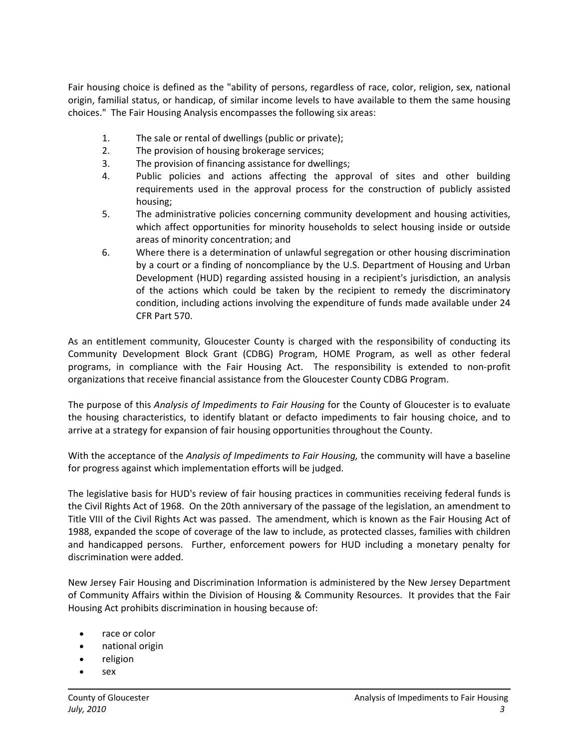Fair housing choice is defined as the "ability of persons, regardless of race, color, religion, sex, national origin, familial status, or handicap, of similar income levels to have available to them the same housing choices." The Fair Housing Analysis encompasses the following six areas:

- 1. The sale or rental of dwellings (public or private);
- 2. The provision of housing brokerage services;
- 3. The provision of financing assistance for dwellings;
- 4. Public policies and actions affecting the approval of sites and other building requirements used in the approval process for the construction of publicly assisted housing;
- 5. The administrative policies concerning community development and housing activities, which affect opportunities for minority households to select housing inside or outside areas of minority concentration; and
- 6. Where there is a determination of unlawful segregation or other housing discrimination by a court or a finding of noncompliance by the U.S. Department of Housing and Urban Development (HUD) regarding assisted housing in a recipient's jurisdiction, an analysis of the actions which could be taken by the recipient to remedy the discriminatory condition, including actions involving the expenditure of funds made available under 24 CFR Part 570.

As an entitlement community, Gloucester County is charged with the responsibility of conducting its Community Development Block Grant (CDBG) Program, HOME Program, as well as other federal programs, in compliance with the Fair Housing Act. The responsibility is extended to non‐profit organizations that receive financial assistance from the Gloucester County CDBG Program.

The purpose of this *Analysis of Impediments to Fair Housing* for the County of Gloucester is to evaluate the housing characteristics, to identify blatant or defacto impediments to fair housing choice, and to arrive at a strategy for expansion of fair housing opportunities throughout the County.

With the acceptance of the *Analysis of Impediments to Fair Housing,* the community will have a baseline for progress against which implementation efforts will be judged.

The legislative basis for HUD's review of fair housing practices in communities receiving federal funds is the Civil Rights Act of 1968. On the 20th anniversary of the passage of the legislation, an amendment to Title VIII of the Civil Rights Act was passed. The amendment, which is known as the Fair Housing Act of 1988, expanded the scope of coverage of the law to include, as protected classes, families with children and handicapped persons. Further, enforcement powers for HUD including a monetary penalty for discrimination were added.

New Jersey Fair Housing and Discrimination Information is administered by the New Jersey Department of Community Affairs within the Division of Housing & Community Resources. It provides that the Fair Housing Act prohibits discrimination in housing because of:

- race or color
- national origin
- religion
- sex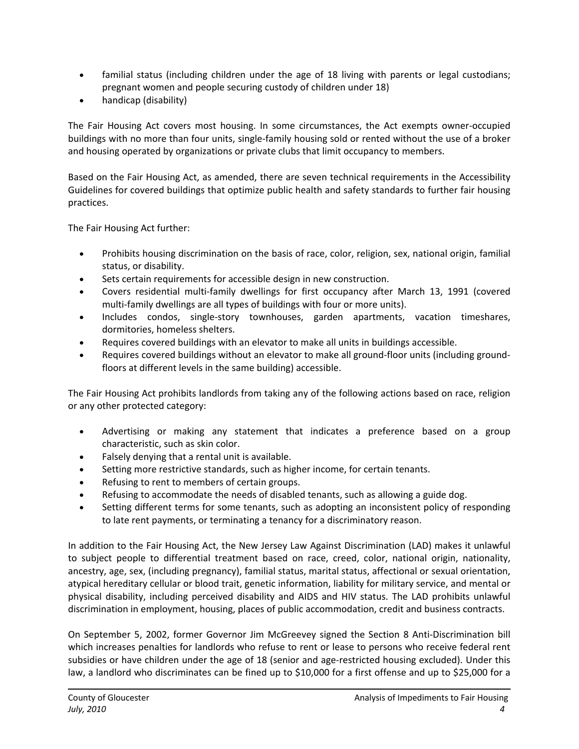- familial status (including children under the age of 18 living with parents or legal custodians; pregnant women and people securing custody of children under 18)
- handicap (disability)

The Fair Housing Act covers most housing. In some circumstances, the Act exempts owner‐occupied buildings with no more than four units, single‐family housing sold or rented without the use of a broker and housing operated by organizations or private clubs that limit occupancy to members.

Based on the Fair Housing Act, as amended, there are seven technical requirements in the Accessibility Guidelines for covered buildings that optimize public health and safety standards to further fair housing practices.

The Fair Housing Act further:

- Prohibits housing discrimination on the basis of race, color, religion, sex, national origin, familial status, or disability.
- Sets certain requirements for accessible design in new construction.
- Covers residential multi‐family dwellings for first occupancy after March 13, 1991 (covered multi-family dwellings are all types of buildings with four or more units).
- Includes condos, single‐story townhouses, garden apartments, vacation timeshares, dormitories, homeless shelters.
- Requires covered buildings with an elevator to make all units in buildings accessible.
- Requires covered buildings without an elevator to make all ground‐floor units (including ground‐ floors at different levels in the same building) accessible.

The Fair Housing Act prohibits landlords from taking any of the following actions based on race, religion or any other protected category:

- Advertising or making any statement that indicates a preference based on a group characteristic, such as skin color.
- Falsely denying that a rental unit is available.
- Setting more restrictive standards, such as higher income, for certain tenants.
- Refusing to rent to members of certain groups.
- Refusing to accommodate the needs of disabled tenants, such as allowing a guide dog.
- Setting different terms for some tenants, such as adopting an inconsistent policy of responding to late rent payments, or terminating a tenancy for a discriminatory reason.

In addition to the Fair Housing Act, the New Jersey Law Against Discrimination (LAD) makes it unlawful to subject people to differential treatment based on race, creed, color, national origin, nationality, ancestry, age, sex, (including pregnancy), familial status, marital status, affectional or sexual orientation, atypical hereditary cellular or blood trait, genetic information, liability for military service, and mental or physical disability, including perceived disability and AIDS and HIV status. The LAD prohibits unlawful discrimination in employment, housing, places of public accommodation, credit and business contracts.

On September 5, 2002, former Governor Jim McGreevey signed the Section 8 Anti‐Discrimination bill which increases penalties for landlords who refuse to rent or lease to persons who receive federal rent subsidies or have children under the age of 18 (senior and age-restricted housing excluded). Under this law, a landlord who discriminates can be fined up to \$10,000 for a first offense and up to \$25,000 for a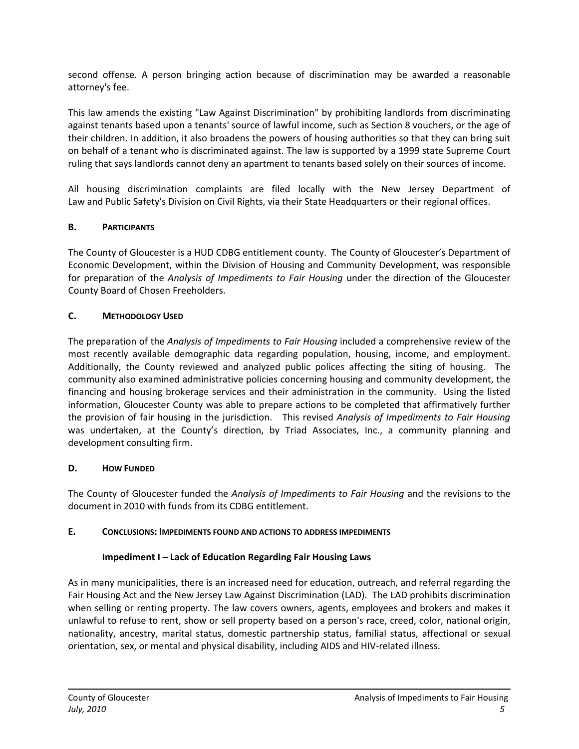second offense. A person bringing action because of discrimination may be awarded a reasonable attorney's fee.

This law amends the existing "Law Against Discrimination" by prohibiting landlords from discriminating against tenants based upon a tenants' source of lawful income, such as Section 8 vouchers, or the age of their children. In addition, it also broadens the powers of housing authorities so that they can bring suit on behalf of a tenant who is discriminated against. The law is supported by a 1999 state Supreme Court ruling that says landlords cannot deny an apartment to tenants based solely on their sources of income.

All housing discrimination complaints are filed locally with the New Jersey Department of Law and Public Safety's [Division](http://www.state.nj.us/lps/dcr/index.html) on Civil Rights, via their State Headquarters or their regional offices.

#### <span id="page-5-0"></span>**B. PARTICIPANTS**

The County of Gloucester is a HUD CDBG entitlement county. The County of Gloucester's Department of Economic Development, within the Division of Housing and Community Development, was responsible for preparation of the *Analysis of Impediments to Fair Housing* under the direction of the Gloucester County Board of Chosen Freeholders.

#### <span id="page-5-1"></span>**C. METHODOLOGY USED**

The preparation of the *Analysis of Impediments to Fair Housing* included a comprehensive review of the most recently available demographic data regarding population, housing, income, and employment. Additionally, the County reviewed and analyzed public polices affecting the siting of housing. The community also examined administrative policies concerning housing and community development, the financing and housing brokerage services and their administration in the community. Using the listed information, Gloucester County was able to prepare actions to be completed that affirmatively further the provision of fair housing in the jurisdiction. This revised *Analysis of Impediments to Fair Housing* was undertaken, at the County's direction, by Triad Associates, Inc., a community planning and development consulting firm.

#### <span id="page-5-2"></span>**D. HOW FUNDED**

The County of Gloucester funded the *Analysis of Impediments to Fair Housing* and the revisions to the document in 2010 with funds from its CDBG entitlement.

#### <span id="page-5-3"></span>**E. CONCLUSIONS: IMPEDIMENTS FOUND AND ACTIONS TO ADDRESS IMPEDIMENTS**

## **Impediment I – Lack of Education Regarding Fair Housing Laws**

<span id="page-5-4"></span>As in many municipalities, there is an increased need for education, outreach, and referral regarding the Fair Housing Act and the New Jersey Law Against Discrimination (LAD). The LAD prohibits discrimination when selling or renting property. The law covers owners, agents, employees and brokers and makes it unlawful to refuse to rent, show or sell property based on a person's race, creed, color, national origin, nationality, ancestry, marital status, domestic partnership status, familial status, affectional or sexual orientation, sex, or mental and physical disability, including AIDS and HIV‐related illness.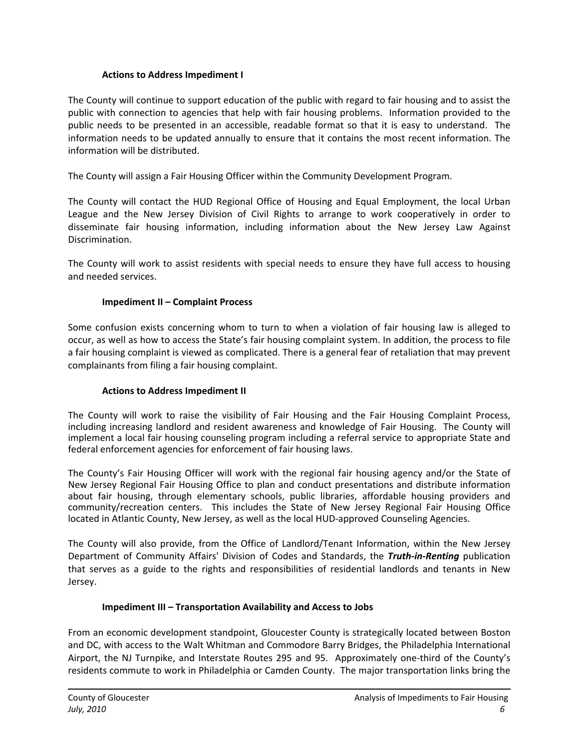#### **Actions to Address Impediment I**

The County will continue to support education of the public with regard to fair housing and to assist the public with connection to agencies that help with fair housing problems. Information provided to the public needs to be presented in an accessible, readable format so that it is easy to understand. The information needs to be updated annually to ensure that it contains the most recent information. The information will be distributed.

The County will assign a Fair Housing Officer within the Community Development Program.

The County will contact the HUD Regional Office of Housing and Equal Employment, the local Urban League and the New Jersey Division of Civil Rights to arrange to work cooperatively in order to disseminate fair housing information, including information about the New Jersey Law Against Discrimination.

The County will work to assist residents with special needs to ensure they have full access to housing and needed services.

#### **Impediment II – Complaint Process**

<span id="page-6-0"></span>Some confusion exists concerning whom to turn to when a violation of fair housing law is alleged to occur, as well as how to access the State's fair housing complaint system. In addition, the process to file a fair housing complaint is viewed as complicated. There is a general fear of retaliation that may prevent complainants from filing a fair housing complaint.

#### **Actions to Address Impediment II**

The County will work to raise the visibility of Fair Housing and the Fair Housing Complaint Process, including increasing landlord and resident awareness and knowledge of Fair Housing. The County will implement a local fair housing counseling program including a referral service to appropriate State and federal enforcement agencies for enforcement of fair housing laws.

The County's Fair Housing Officer will work with the regional fair housing agency and/or the State of New Jersey Regional Fair Housing Office to plan and conduct presentations and distribute information about fair housing, through elementary schools, public libraries, affordable housing providers and community/recreation centers. This includes the State of New Jersey Regional Fair Housing Office located in Atlantic County, New Jersey, as well as the local HUD‐approved Counseling Agencies.

The County will also provide, from the Office of Landlord/Tenant Information, within the New Jersey Department of Community Affairs' Division of Codes and Standards, the *Truth‐in‐Renting* publication that serves as a guide to the rights and responsibilities of residential landlords and tenants in New Jersey.

#### **Impediment III – Transportation Availability and Access to Jobs**

<span id="page-6-1"></span>From an economic development standpoint, Gloucester County is strategically located between Boston and DC, with access to the Walt Whitman and Commodore Barry Bridges, the Philadelphia International Airport, the NJ Turnpike, and Interstate Routes 295 and 95. Approximately one‐third of the County's residents commute to work in Philadelphia or Camden County. The major transportation links bring the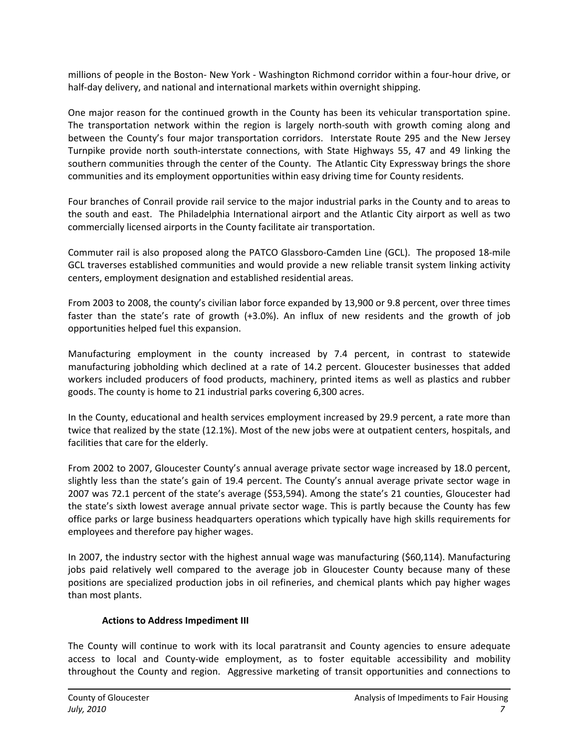millions of people in the Boston‐ New York ‐ Washington Richmond corridor within a four‐hour drive, or half-day delivery, and national and international markets within overnight shipping.

One major reason for the continued growth in the County has been its vehicular transportation spine. The transportation network within the region is largely north‐south with growth coming along and between the County's four major transportation corridors. Interstate Route 295 and the New Jersey Turnpike provide north south‐interstate connections, with State Highways 55, 47 and 49 linking the southern communities through the center of the County. The Atlantic City Expressway brings the shore communities and its employment opportunities within easy driving time for County residents.

Four branches of Conrail provide rail service to the major industrial parks in the County and to areas to the south and east. The Philadelphia International airport and the Atlantic City airport as well as two commercially licensed airports in the County facilitate air transportation.

Commuter rail is also proposed along the PATCO Glassboro‐Camden Line (GCL). The proposed 18‐mile GCL traverses established communities and would provide a new reliable transit system linking activity centers, employment designation and established residential areas.

From 2003 to 2008, the county's civilian labor force expanded by 13,900 or 9.8 percent, over three times faster than the state's rate of growth (+3.0%). An influx of new residents and the growth of job opportunities helped fuel this expansion.

Manufacturing employment in the county increased by 7.4 percent, in contrast to statewide manufacturing jobholding which declined at a rate of 14.2 percent. Gloucester businesses that added workers included producers of food products, machinery, printed items as well as plastics and rubber goods. The county is home to 21 industrial parks covering 6,300 acres.

In the County, educational and health services employment increased by 29.9 percent, a rate more than twice that realized by the state (12.1%). Most of the new jobs were at outpatient centers, hospitals, and facilities that care for the elderly.

From 2002 to 2007, Gloucester County's annual average private sector wage increased by 18.0 percent, slightly less than the state's gain of 19.4 percent. The County's annual average private sector wage in 2007 was 72.1 percent of the state's average (\$53,594). Among the state's 21 counties, Gloucester had the state's sixth lowest average annual private sector wage. This is partly because the County has few office parks or large business headquarters operations which typically have high skills requirements for employees and therefore pay higher wages.

In 2007, the industry sector with the highest annual wage was manufacturing (\$60,114). Manufacturing jobs paid relatively well compared to the average job in Gloucester County because many of these positions are specialized production jobs in oil refineries, and chemical plants which pay higher wages than most plants.

#### **Actions to Address Impediment III**

The County will continue to work with its local paratransit and County agencies to ensure adequate access to local and County-wide employment, as to foster equitable accessibility and mobility throughout the County and region. Aggressive marketing of transit opportunities and connections to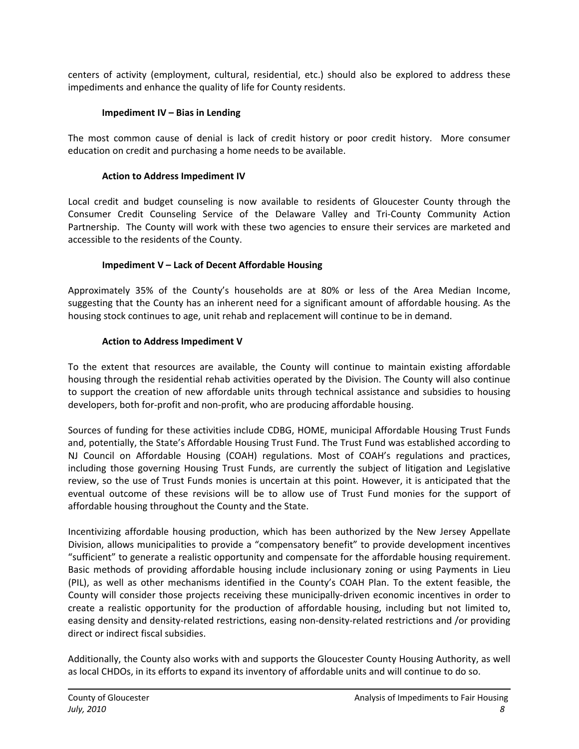centers of activity (employment, cultural, residential, etc.) should also be explored to address these impediments and enhance the quality of life for County residents.

#### **Impediment IV – Bias in Lending**

<span id="page-8-0"></span>The most common cause of denial is lack of credit history or poor credit history. More consumer education on credit and purchasing a home needs to be available.

#### **Action to Address Impediment IV**

Local credit and budget counseling is now available to residents of Gloucester County through the Consumer Credit Counseling Service of the Delaware Valley and Tri‐County Community Action Partnership. The County will work with these two agencies to ensure their services are marketed and accessible to the residents of the County.

#### **Impediment V – Lack of Decent Affordable Housing**

<span id="page-8-1"></span>Approximately 35% of the County's households are at 80% or less of the Area Median Income, suggesting that the County has an inherent need for a significant amount of affordable housing. As the housing stock continues to age, unit rehab and replacement will continue to be in demand.

#### **Action to Address Impediment V**

To the extent that resources are available, the County will continue to maintain existing affordable housing through the residential rehab activities operated by the Division. The County will also continue to support the creation of new affordable units through technical assistance and subsidies to housing developers, both for-profit and non-profit, who are producing affordable housing.

Sources of funding for these activities include CDBG, HOME, municipal Affordable Housing Trust Funds and, potentially, the State's Affordable Housing Trust Fund. The Trust Fund was established according to NJ Council on Affordable Housing (COAH) regulations. Most of COAH's regulations and practices, including those governing Housing Trust Funds, are currently the subject of litigation and Legislative review, so the use of Trust Funds monies is uncertain at this point. However, it is anticipated that the eventual outcome of these revisions will be to allow use of Trust Fund monies for the support of affordable housing throughout the County and the State.

Incentivizing affordable housing production, which has been authorized by the New Jersey Appellate Division, allows municipalities to provide a "compensatory benefit" to provide development incentives "sufficient" to generate a realistic opportunity and compensate for the affordable housing requirement. Basic methods of providing affordable housing include inclusionary zoning or using Payments in Lieu (PIL), as well as other mechanisms identified in the County's COAH Plan. To the extent feasible, the County will consider those projects receiving these municipally‐driven economic incentives in order to create a realistic opportunity for the production of affordable housing, including but not limited to, easing density and density‐related restrictions, easing non‐density‐related restrictions and /or providing direct or indirect fiscal subsidies.

Additionally, the County also works with and supports the Gloucester County Housing Authority, as well as local CHDOs, in its efforts to expand its inventory of affordable units and will continue to do so.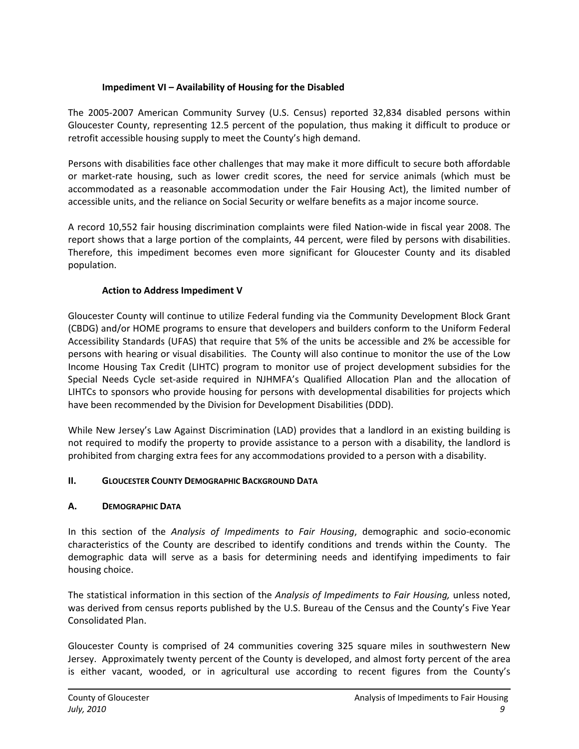#### **Impediment VI – Availability of Housing for the Disabled**

<span id="page-9-0"></span>The 2005‐2007 American Community Survey (U.S. Census) reported 32,834 disabled persons within Gloucester County, representing 12.5 percent of the population, thus making it difficult to produce or retrofit accessible housing supply to meet the County's high demand.

Persons with disabilities face other challenges that may make it more difficult to secure both affordable or market-rate housing, such as lower credit scores, the need for service animals (which must be accommodated as a reasonable accommodation under the Fair Housing Act), the limited number of accessible units, and the reliance on Social Security or welfare benefits as a major income source.

A record 10,552 fair housing discrimination complaints were filed Nation‐wide in fiscal year 2008. The report shows that a large portion of the complaints, 44 percent, were filed by persons with disabilities. Therefore, this impediment becomes even more significant for Gloucester County and its disabled population.

#### **Action to Address Impediment V**

Gloucester County will continue to utilize Federal funding via the Community Development Block Grant (CBDG) and/or HOME programs to ensure that developers and builders conform to the Uniform Federal Accessibility Standards (UFAS) that require that 5% of the units be accessible and 2% be accessible for persons with hearing or visual disabilities. The County will also continue to monitor the use of the Low Income Housing Tax Credit (LIHTC) program to monitor use of project development subsidies for the Special Needs Cycle set‐aside required in NJHMFA's Qualified Allocation Plan and the allocation of LIHTCs to sponsors who provide housing for persons with developmental disabilities for projects which have been recommended by the Division for Development Disabilities (DDD).

While New Jersey's Law Against Discrimination (LAD) provides that a landlord in an existing building is not required to modify the property to provide assistance to a person with a disability, the landlord is prohibited from charging extra fees for any accommodations provided to a person with a disability.

#### <span id="page-9-1"></span>**II. GLOUCESTER COUNTY DEMOGRAPHIC BACKGROUND DATA**

#### <span id="page-9-2"></span>**A. DEMOGRAPHIC DATA**

In this section of the *Analysis of Impediments to Fair Housing*, demographic and socio‐economic characteristics of the County are described to identify conditions and trends within the County. The demographic data will serve as a basis for determining needs and identifying impediments to fair housing choice.

The statistical information in this section of the *Analysis of Impediments to Fair Housing,* unless noted, was derived from census reports published by the U.S. Bureau of the Census and the County's Five Year Consolidated Plan.

Gloucester County is comprised of 24 communities covering 325 square miles in southwestern New Jersey. Approximately twenty percent of the County is developed, and almost forty percent of the area is either vacant, wooded, or in agricultural use according to recent figures from the County's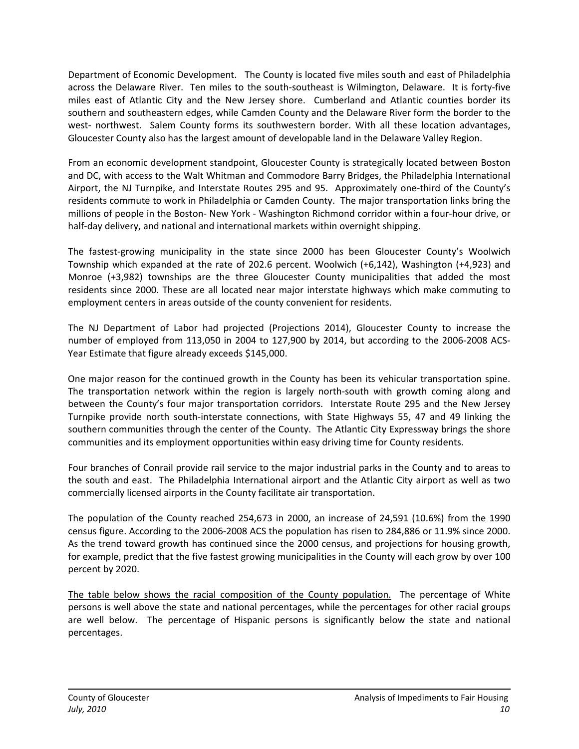Department of Economic Development. The County is located five miles south and east of Philadelphia across the Delaware River. Ten miles to the south-southeast is Wilmington, Delaware. It is forty-five miles east of Atlantic City and the New Jersey shore. Cumberland and Atlantic counties border its southern and southeastern edges, while Camden County and the Delaware River form the border to the west- northwest. Salem County forms its southwestern border. With all these location advantages, Gloucester County also has the largest amount of developable land in the Delaware Valley Region.

From an economic development standpoint, Gloucester County is strategically located between Boston and DC, with access to the Walt Whitman and Commodore Barry Bridges, the Philadelphia International Airport, the NJ Turnpike, and Interstate Routes 295 and 95. Approximately one‐third of the County's residents commute to work in Philadelphia or Camden County. The major transportation links bring the millions of people in the Boston‐ New York ‐ Washington Richmond corridor within a four‐hour drive, or half-day delivery, and national and international markets within overnight shipping.

The fastest-growing municipality in the state since 2000 has been Gloucester County's Woolwich Township which expanded at the rate of 202.6 percent. Woolwich (+6,142), Washington (+4,923) and Monroe (+3,982) townships are the three Gloucester County municipalities that added the most residents since 2000. These are all located near major interstate highways which make commuting to employment centers in areas outside of the county convenient for residents.

The NJ Department of Labor had projected (Projections 2014), Gloucester County to increase the number of employed from 113,050 in 2004 to 127,900 by 2014, but according to the 2006‐2008 ACS‐ Year Estimate that figure already exceeds \$145,000.

One major reason for the continued growth in the County has been its vehicular transportation spine. The transportation network within the region is largely north‐south with growth coming along and between the County's four major transportation corridors. Interstate Route 295 and the New Jersey Turnpike provide north south‐interstate connections, with State Highways 55, 47 and 49 linking the southern communities through the center of the County. The Atlantic City Expressway brings the shore communities and its employment opportunities within easy driving time for County residents.

Four branches of Conrail provide rail service to the major industrial parks in the County and to areas to the south and east. The Philadelphia International airport and the Atlantic City airport as well as two commercially licensed airports in the County facilitate air transportation.

The population of the County reached 254,673 in 2000, an increase of 24,591 (10.6%) from the 1990 census figure. According to the 2006‐2008 ACS the population has risen to 284,886 or 11.9% since 2000. As the trend toward growth has continued since the 2000 census, and projections for housing growth, for example, predict that the five fastest growing municipalities in the County will each grow by over 100 percent by 2020.

The table below shows the racial composition of the County population. The percentage of White persons is well above the state and national percentages, while the percentages for other racial groups are well below. The percentage of Hispanic persons is significantly below the state and national percentages.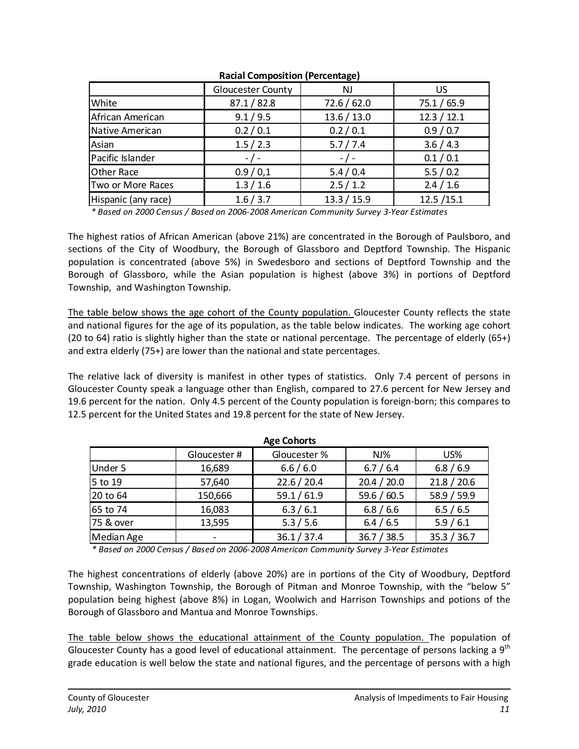|                     | <b>Gloucester County</b> | <b>NJ</b>   | US          |  |
|---------------------|--------------------------|-------------|-------------|--|
| White               | 87.1 / 82.8              | 72.6 / 62.0 | 75.1 / 65.9 |  |
| African American    | 9.1 / 9.5                | 13.6 / 13.0 | 12.3 / 12.1 |  |
| Native American     | 0.2 / 0.1                | 0.2 / 0.1   | 0.9 / 0.7   |  |
| Asian               | 1.5 / 2.3                | 5.7 / 7.4   | 3.6 / 4.3   |  |
| Pacific Islander    | $-$ / $-$                | $-$ / $-$   | 0.1 / 0.1   |  |
| Other Race          | 0.9/0,1                  | 5.4/0.4     | 5.5/0.2     |  |
| Two or More Races   | 1.3 / 1.6                | 2.5/1.2     | 2.4 / 1.6   |  |
| Hispanic (any race) | 1.6 / 3.7                | 13.3 / 15.9 | 12.5 / 15.1 |  |

#### **Racial Composition (Percentage)**

*\* Based on 2000 Census / Based on 2006‐2008 American Community Survey 3‐Year Estimates*

The highest ratios of African American (above 21%) are concentrated in the Borough of Paulsboro, and sections of the City of Woodbury, the Borough of Glassboro and Deptford Township. The Hispanic population is concentrated (above 5%) in Swedesboro and sections of Deptford Township and the Borough of Glassboro, while the Asian population is highest (above 3%) in portions of Deptford Township, and Washington Township.

The table below shows the age cohort of the County population. Gloucester County reflects the state and national figures for the age of its population, as the table below indicates. The working age cohort (20 to 64) ratio is slightly higher than the state or national percentage. The percentage of elderly (65+) and extra elderly (75+) are lower than the national and state percentages.

The relative lack of diversity is manifest in other types of statistics. Only 7.4 percent of persons in Gloucester County speak a language other than English, compared to 27.6 percent for New Jersey and 19.6 percent for the nation. Only 4.5 percent of the County population is foreign‐born; this compares to 12.5 percent for the United States and 19.8 percent for the state of New Jersey.

| <b>Age Cohorts</b> |              |              |             |             |  |  |  |  |
|--------------------|--------------|--------------|-------------|-------------|--|--|--|--|
|                    | Gloucester # | Gloucester % | $NJ\%$      | US%         |  |  |  |  |
| Under 5            | 16,689       | 6.6/6.0      | 6.7 / 6.4   | 6.8 / 6.9   |  |  |  |  |
| 5 to 19            | 57,640       | 22.6 / 20.4  | 20.4 / 20.0 | 21.8 / 20.6 |  |  |  |  |
| 20 to 64           | 150,666      | 59.1 / 61.9  | 59.6 / 60.5 | 58.9 / 59.9 |  |  |  |  |
| 65 to 74           | 16,083       | 6.3/6.1      | 6.8 / 6.6   | 6.5 / 6.5   |  |  |  |  |
| 75 & over          | 13,595       | 5.3 / 5.6    | 6.4 / 6.5   | 5.9/6.1     |  |  |  |  |
| Median Age         |              | 36.1 / 37.4  | 36.7 / 38.5 | 35.3 / 36.7 |  |  |  |  |

*\* Based on 2000 Census / Based on 2006‐2008 American Community Survey 3‐Year Estimates*

The highest concentrations of elderly (above 20%) are in portions of the City of Woodbury, Deptford Township, Washington Township, the Borough of Pitman and Monroe Township, with the "below 5" population being highest (above 8%) in Logan, Woolwich and Harrison Townships and potions of the Borough of Glassboro and Mantua and Monroe Townships.

The table below shows the educational attainment of the County population. The population of Gloucester County has a good level of educational attainment. The percentage of persons lacking a 9<sup>th</sup> grade education is well below the state and national figures, and the percentage of persons with a high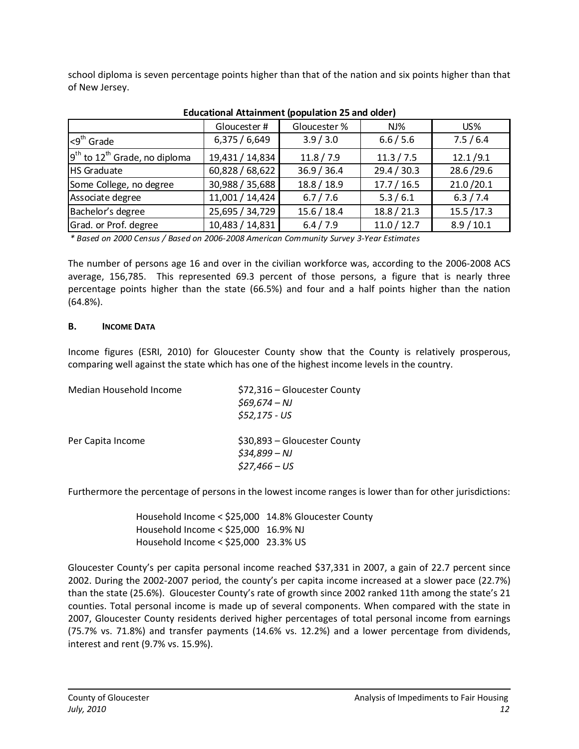school diploma is seven percentage points higher than that of the nation and six points higher than that of New Jersey.

|                                             | Gloucester #    | Gloucester % | $NJ\%$      | $US\%$      |
|---------------------------------------------|-----------------|--------------|-------------|-------------|
| ı<9 <sup>th</sup> Grade                     | 6,375/6,649     | 3.9 / 3.0    | 6.6 / 5.6   | 7.5/6.4     |
| $9th$ to 12 <sup>th</sup> Grade, no diploma | 19,431 / 14,834 | 11.8 / 7.9   | 11.3 / 7.5  | 12.1/9.1    |
| HS Graduate                                 | 60,828/68,622   | 36.9 / 36.4  | 29.4 / 30.3 | 28.6/29.6   |
| Some College, no degree                     | 30,988 / 35,688 | 18.8 / 18.9  | 17.7 / 16.5 | 21.0 / 20.1 |
| Associate degree                            | 11,001 / 14,424 | 6.7 / 7.6    | 5.3/6.1     | 6.3 / 7.4   |
| Bachelor's degree                           | 25,695 / 34,729 | 15.6 / 18.4  | 18.8 / 21.3 | 15.5 / 17.3 |
| Grad. or Prof. degree                       | 10,483 / 14,831 | 6.4 / 7.9    | 11.0 / 12.7 | 8.9 / 10.1  |

#### **Educational Attainment (population 25 and older)**

*\* Based on 2000 Census / Based on 2006‐2008 American Community Survey 3‐Year Estimates*

The number of persons age 16 and over in the civilian workforce was, according to the 2006‐2008 ACS average, 156,785. This represented 69.3 percent of those persons, a figure that is nearly three percentage points higher than the state (66.5%) and four and a half points higher than the nation (64.8%).

#### <span id="page-12-0"></span>**B. INCOME DATA**

Income figures (ESRI, 2010) for Gloucester County show that the County is relatively prosperous, comparing well against the state which has one of the highest income levels in the country.

| Median Household Income | \$72,316 – Gloucester County<br>$$69,674 - NJ$<br>$$52,175 - US$ |
|-------------------------|------------------------------------------------------------------|
| Per Capita Income       | \$30,893 – Gloucester County<br>$$34,899 - NJ$<br>$$27,466 - US$ |

Furthermore the percentage of persons in the lowest income ranges is lower than for other jurisdictions:

Household Income < \$25,000 14.8% Gloucester County Household Income < \$25,000 16.9% NJ  Household Income < \$25,000 23.3% US

Gloucester County's per capita personal income reached \$37,331 in 2007, a gain of 22.7 percent since 2002. During the 2002‐2007 period, the county's per capita income increased at a slower pace (22.7%) than the state (25.6%). Gloucester County's rate of growth since 2002 ranked 11th among the state's 21 counties. Total personal income is made up of several components. When compared with the state in 2007, Gloucester County residents derived higher percentages of total personal income from earnings (75.7% vs. 71.8%) and transfer payments (14.6% vs. 12.2%) and a lower percentage from dividends, interest and rent (9.7% vs. 15.9%).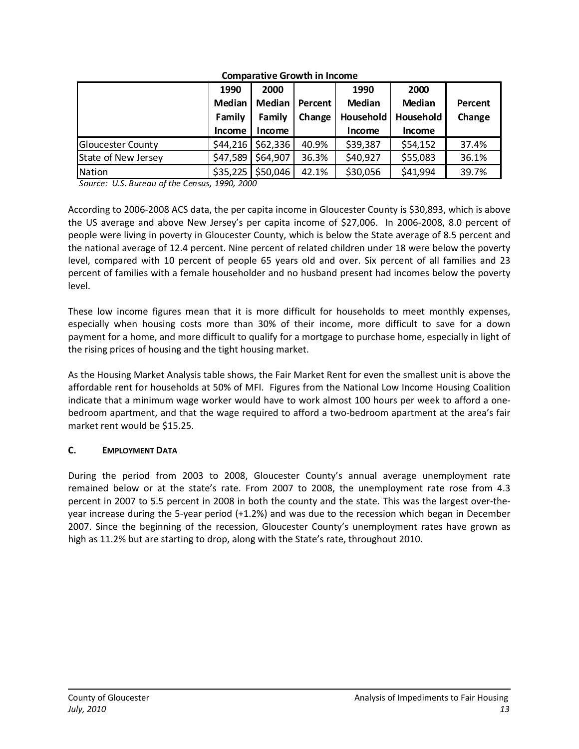|                     | 1990          | 2000          |         | 1990          | 2000          |         |
|---------------------|---------------|---------------|---------|---------------|---------------|---------|
|                     | Median        | <b>Median</b> | Percent | Median        | <b>Median</b> | Percent |
|                     | Family        | Family        | Change  | Household     | Household     | Change  |
|                     | <b>Income</b> | Income        |         | <b>Income</b> | <b>Income</b> |         |
| Gloucester County   | \$44,216      | \$62,336      | 40.9%   | \$39,387      | \$54,152      | 37.4%   |
| State of New Jersey | \$47,589      | \$64,907      | 36.3%   | \$40,927      | \$55,083      | 36.1%   |
| Nation              | \$35,225      | \$50,046      | 42.1%   | \$30,056      | \$41,994      | 39.7%   |

**Comparative Growth in Income**

*Source: U.S. Bureau of the Census, 1990, 2000*

According to 2006‐2008 ACS data, the per capita income in Gloucester County is \$30,893, which is above the US average and above New Jersey's per capita income of \$27,006. In 2006‐2008, 8.0 percent of people were living in poverty in Gloucester County, which is below the State average of 8.5 percent and the national average of 12.4 percent. Nine percent of related children under 18 were below the poverty level, compared with 10 percent of people 65 years old and over. Six percent of all families and 23 percent of families with a female householder and no husband present had incomes below the poverty level.

These low income figures mean that it is more difficult for households to meet monthly expenses, especially when housing costs more than 30% of their income, more difficult to save for a down payment for a home, and more difficult to qualify for a mortgage to purchase home, especially in light of the rising prices of housing and the tight housing market.

As the Housing Market Analysis table shows, the Fair Market Rent for even the smallest unit is above the affordable rent for households at 50% of MFI. Figures from the National Low Income Housing Coalition indicate that a minimum wage worker would have to work almost 100 hours per week to afford a one‐ bedroom apartment, and that the wage required to afford a two-bedroom apartment at the area's fair market rent would be \$15.25.

#### <span id="page-13-0"></span>**C. EMPLOYMENT DATA**

During the period from 2003 to 2008, Gloucester County's annual average unemployment rate remained below or at the state's rate. From 2007 to 2008, the unemployment rate rose from 4.3 percent in 2007 to 5.5 percent in 2008 in both the county and the state. This was the largest over-theyear increase during the 5‐year period (+1.2%) and was due to the recession which began in December 2007. Since the beginning of the recession, Gloucester County's unemployment rates have grown as high as 11.2% but are starting to drop, along with the State's rate, throughout 2010.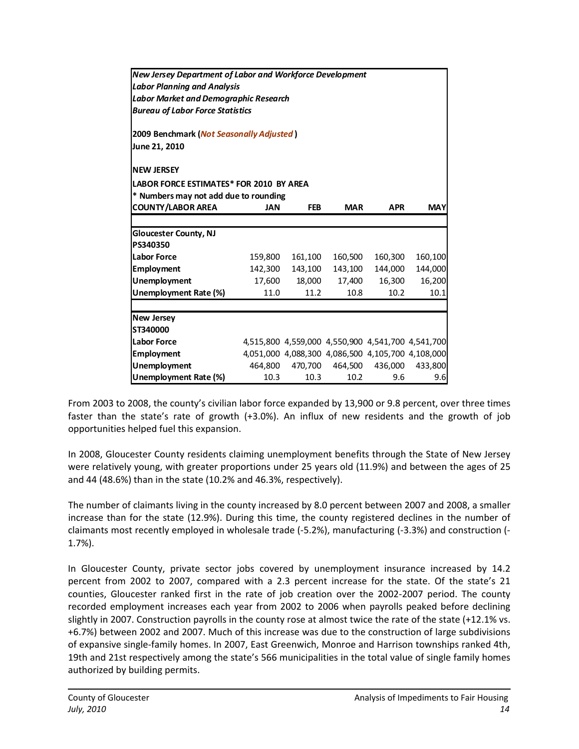| <b>New Jersey Department of Labor and Workforce Development</b> |            |                                                   |            |            |            |  |  |  |  |  |  |
|-----------------------------------------------------------------|------------|---------------------------------------------------|------------|------------|------------|--|--|--|--|--|--|
| <b>Labor Planning and Analysis</b>                              |            |                                                   |            |            |            |  |  |  |  |  |  |
| <b>Labor Market and Demographic Research</b>                    |            |                                                   |            |            |            |  |  |  |  |  |  |
| <b>Bureau of Labor Force Statistics</b>                         |            |                                                   |            |            |            |  |  |  |  |  |  |
|                                                                 |            |                                                   |            |            |            |  |  |  |  |  |  |
| 2009 Benchmark (Not Seasonally Adjusted)                        |            |                                                   |            |            |            |  |  |  |  |  |  |
| June 21, 2010                                                   |            |                                                   |            |            |            |  |  |  |  |  |  |
| <b>NEW JERSEY</b>                                               |            |                                                   |            |            |            |  |  |  |  |  |  |
|                                                                 |            |                                                   |            |            |            |  |  |  |  |  |  |
| LABOR FORCE ESTIMATES* FOR 2010 BY AREA                         |            |                                                   |            |            |            |  |  |  |  |  |  |
| * Numbers may not add due to rounding                           |            |                                                   |            |            |            |  |  |  |  |  |  |
| <b>COUNTY/LABOR AREA</b>                                        | <b>JAN</b> | <b>FEB</b>                                        | <b>MAR</b> | <b>APR</b> | <b>MAY</b> |  |  |  |  |  |  |
|                                                                 |            |                                                   |            |            |            |  |  |  |  |  |  |
| <b>Gloucester County, NJ</b>                                    |            |                                                   |            |            |            |  |  |  |  |  |  |
| PS340350                                                        |            |                                                   |            |            |            |  |  |  |  |  |  |
| <b>Labor Force</b>                                              | 159,800    | 161,100                                           | 160,500    | 160,300    | 160,100    |  |  |  |  |  |  |
| <b>Employment</b>                                               | 142,300    | 143,100                                           | 143,100    | 144,000    | 144,000    |  |  |  |  |  |  |
| Unemployment                                                    | 17,600     | 18,000                                            | 17,400     | 16,300     | 16,200     |  |  |  |  |  |  |
| Unemployment Rate (%)                                           | 11.0       | 11.2                                              | 10.8       | 10.2       | 10.1       |  |  |  |  |  |  |
|                                                                 |            |                                                   |            |            |            |  |  |  |  |  |  |
| <b>New Jersey</b>                                               |            |                                                   |            |            |            |  |  |  |  |  |  |
| ST340000                                                        |            |                                                   |            |            |            |  |  |  |  |  |  |
| <b>Labor Force</b>                                              |            | 4,515,800 4,559,000 4,550,900 4,541,700 4,541,700 |            |            |            |  |  |  |  |  |  |
| <b>Employment</b>                                               |            | 4,051,000 4,088,300 4,086,500 4,105,700 4,108,000 |            |            |            |  |  |  |  |  |  |
| Unemployment                                                    | 464,800    | 470,700                                           | 464,500    | 436,000    | 433,800    |  |  |  |  |  |  |
| <b>Unemployment Rate (%)</b>                                    | 10.3       | 10.3                                              | 10.2       | 9.6        | 9.6        |  |  |  |  |  |  |
|                                                                 |            |                                                   |            |            |            |  |  |  |  |  |  |

From 2003 to 2008, the county's civilian labor force expanded by 13,900 or 9.8 percent, over three times faster than the state's rate of growth (+3.0%). An influx of new residents and the growth of job opportunities helped fuel this expansion.

In 2008, Gloucester County residents claiming unemployment benefits through the State of New Jersey were relatively young, with greater proportions under 25 years old (11.9%) and between the ages of 25 and 44 (48.6%) than in the state (10.2% and 46.3%, respectively).

The number of claimants living in the county increased by 8.0 percent between 2007 and 2008, a smaller increase than for the state (12.9%). During this time, the county registered declines in the number of claimants most recently employed in wholesale trade (‐5.2%), manufacturing (‐3.3%) and construction (‐ 1.7%).

In Gloucester County, private sector jobs covered by unemployment insurance increased by 14.2 percent from 2002 to 2007, compared with a 2.3 percent increase for the state. Of the state's 21 counties, Gloucester ranked first in the rate of job creation over the 2002-2007 period. The county recorded employment increases each year from 2002 to 2006 when payrolls peaked before declining slightly in 2007. Construction payrolls in the county rose at almost twice the rate of the state (+12.1% vs. +6.7%) between 2002 and 2007. Much of this increase was due to the construction of large subdivisions of expansive single‐family homes. In 2007, East Greenwich, Monroe and Harrison townships ranked 4th, 19th and 21st respectively among the state's 566 municipalities in the total value of single family homes authorized by building permits.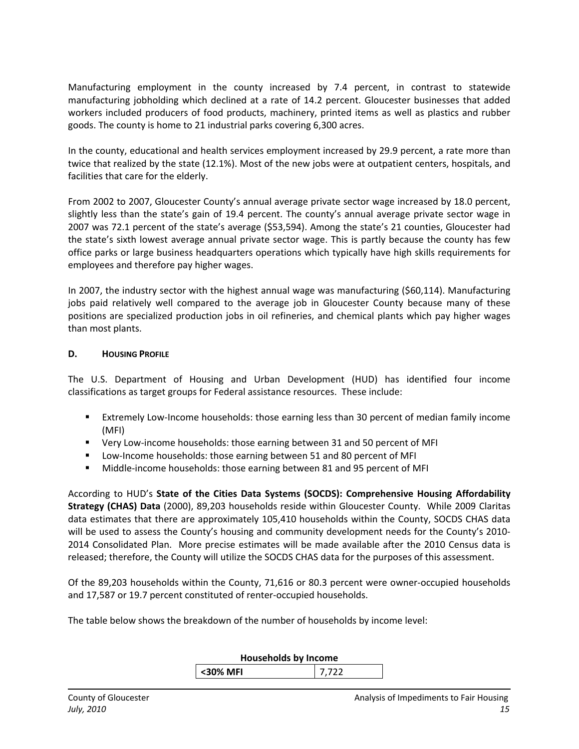Manufacturing employment in the county increased by 7.4 percent, in contrast to statewide manufacturing jobholding which declined at a rate of 14.2 percent. Gloucester businesses that added workers included producers of food products, machinery, printed items as well as plastics and rubber goods. The county is home to 21 industrial parks covering 6,300 acres.

In the county, educational and health services employment increased by 29.9 percent, a rate more than twice that realized by the state (12.1%). Most of the new jobs were at outpatient centers, hospitals, and facilities that care for the elderly.

From 2002 to 2007, Gloucester County's annual average private sector wage increased by 18.0 percent, slightly less than the state's gain of 19.4 percent. The county's annual average private sector wage in 2007 was 72.1 percent of the state's average (\$53,594). Among the state's 21 counties, Gloucester had the state's sixth lowest average annual private sector wage. This is partly because the county has few office parks or large business headquarters operations which typically have high skills requirements for employees and therefore pay higher wages.

In 2007, the industry sector with the highest annual wage was manufacturing (\$60,114). Manufacturing jobs paid relatively well compared to the average job in Gloucester County because many of these positions are specialized production jobs in oil refineries, and chemical plants which pay higher wages than most plants.

#### <span id="page-15-0"></span>**D. HOUSING PROFILE**

The U.S. Department of Housing and Urban Development (HUD) has identified four income classifications as target groups for Federal assistance resources. These include:

- Extremely Low‐Income households: those earning less than 30 percent of median family income (MFI)
- Very Low-income households: those earning between 31 and 50 percent of MFI
- Low-Income households: those earning between 51 and 80 percent of MFI
- Middle-income households: those earning between 81 and 95 percent of MFI

According to HUD's **State of the Cities Data Systems (SOCDS): Comprehensive Housing Affordability Strategy (CHAS) Data** (2000), 89,203 households reside within Gloucester County. While 2009 Claritas data estimates that there are approximately 105,410 households within the County, SOCDS CHAS data will be used to assess the County's housing and community development needs for the County's 2010– 2014 Consolidated Plan. More precise estimates will be made available after the 2010 Census data is released; therefore, the County will utilize the SOCDS CHAS data for the purposes of this assessment.

Of the 89,203 households within the County, 71,616 or 80.3 percent were owner‐occupied households and 17,587 or 19.7 percent constituted of renter‐occupied households.

The table below shows the breakdown of the number of households by income level:

## **Households by Income**

**<30% MFI** 7,722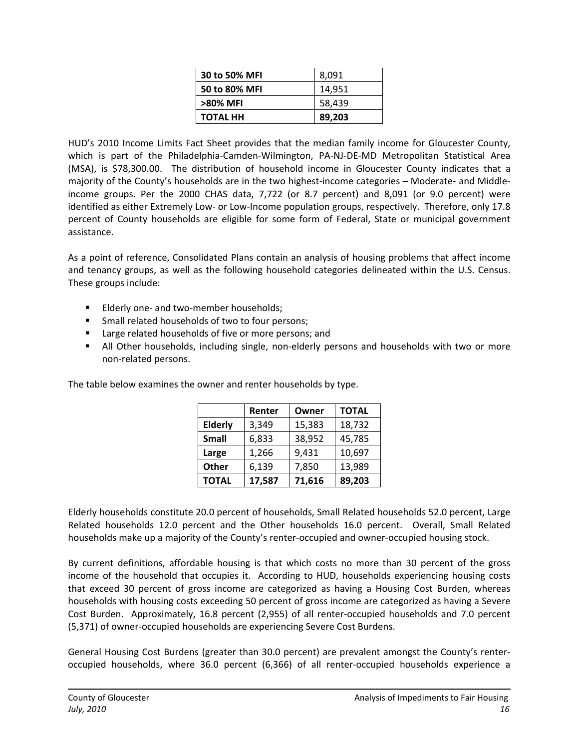| 30 to 50% MFI   | 8.091  |
|-----------------|--------|
| 50 to 80% MFI   | 14.951 |
| >80% MFI        | 58,439 |
| <b>TOTAL HH</b> | 89,203 |

HUD's 2010 Income Limits Fact Sheet provides that the median family income for Gloucester County, which is part of the Philadelphia‐Camden‐Wilmington, PA‐NJ‐DE‐MD Metropolitan Statistical Area (MSA), is \$78,300.00. The distribution of household income in Gloucester County indicates that a majority of the County's households are in the two highest-income categories – Moderate- and Middleincome groups. Per the 2000 CHAS data, 7,722 (or 8.7 percent) and 8,091 (or 9.0 percent) were identified as either Extremely Low‐ or Low‐Income population groups, respectively. Therefore, only 17.8 percent of County households are eligible for some form of Federal, State or municipal government assistance.

As a point of reference, Consolidated Plans contain an analysis of housing problems that affect income and tenancy groups, as well as the following household categories delineated within the U.S. Census. These groups include:

- Elderly one- and two-member households;
- **SMALE 10** Small related households of two to four persons;
- **EXECT** Large related households of five or more persons; and
- All Other households, including single, non-elderly persons and households with two or more non‐related persons.

|                | Renter | Owner  | <b>TOTAL</b> |
|----------------|--------|--------|--------------|
| <b>Elderly</b> | 3,349  | 15,383 | 18,732       |
| <b>Small</b>   | 6,833  | 38,952 | 45,785       |
| Large          | 1,266  | 9,431  | 10,697       |
| <b>Other</b>   | 6,139  | 7,850  | 13,989       |
| <b>TOTAL</b>   | 17,587 | 71,616 | 89,203       |

The table below examines the owner and renter households by type.

Elderly households constitute 20.0 percent of households, Small Related households 52.0 percent, Large Related households 12.0 percent and the Other households 16.0 percent. Overall, Small Related households make up a majority of the County's renter‐occupied and owner‐occupied housing stock.

By current definitions, affordable housing is that which costs no more than 30 percent of the gross income of the household that occupies it. According to HUD, households experiencing housing costs that exceed 30 percent of gross income are categorized as having a Housing Cost Burden, whereas households with housing costs exceeding 50 percent of gross income are categorized as having a Severe Cost Burden. Approximately, 16.8 percent (2,955) of all renter‐occupied households and 7.0 percent (5,371) of owner‐occupied households are experiencing Severe Cost Burdens.

General Housing Cost Burdens (greater than 30.0 percent) are prevalent amongst the County's renter‐ occupied households, where 36.0 percent (6,366) of all renter‐occupied households experience a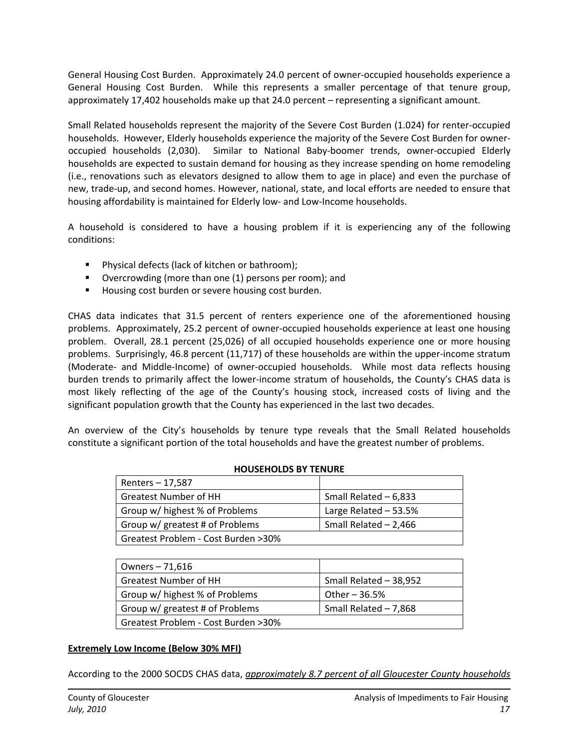General Housing Cost Burden. Approximately 24.0 percent of owner‐occupied households experience a General Housing Cost Burden. While this represents a smaller percentage of that tenure group, approximately 17,402 households make up that 24.0 percent – representing a significant amount.

Small Related households represent the majority of the Severe Cost Burden (1.024) for renter‐occupied households. However, Elderly households experience the majority of the Severe Cost Burden for owner‐ occupied households (2,030). Similar to National Baby‐boomer trends, owner‐occupied Elderly households are expected to sustain demand for housing as they increase spending on home remodeling (i.e., renovations such as elevators designed to allow them to age in place) and even the purchase of new, trade‐up, and second homes. However, national, state, and local efforts are needed to ensure that housing affordability is maintained for Elderly low- and Low-Income households.

A household is considered to have a housing problem if it is experiencing any of the following conditions:

- **Physical defects (lack of kitchen or bathroom);**
- **•** Overcrowding (more than one (1) persons per room); and
- Housing cost burden or severe housing cost burden.

CHAS data indicates that 31.5 percent of renters experience one of the aforementioned housing problems. Approximately, 25.2 percent of owner‐occupied households experience at least one housing problem. Overall, 28.1 percent (25,026) of all occupied households experience one or more housing problems. Surprisingly, 46.8 percent (11,717) of these households are within the upper-income stratum (Moderate‐ and Middle‐Income) of owner‐occupied households. While most data reflects housing burden trends to primarily affect the lower-income stratum of households, the County's CHAS data is most likely reflecting of the age of the County's housing stock, increased costs of living and the significant population growth that the County has experienced in the last two decades.

An overview of the City's households by tenure type reveals that the Small Related households constitute a significant portion of the total households and have the greatest number of problems.

| Renters – 17,587                    |                        |
|-------------------------------------|------------------------|
| <b>Greatest Number of HH</b>        | Small Related $-6,833$ |
| Group w/ highest % of Problems      | Large Related $-53.5%$ |
| Group w/ greatest # of Problems     | Small Related $-2,466$ |
| Greatest Problem - Cost Burden >30% |                        |

#### **HOUSEHOLDS BY TENURE**

| Owners - 71,616                     |                        |
|-------------------------------------|------------------------|
| <b>Greatest Number of HH</b>        | Small Related - 38,952 |
| Group w/ highest % of Problems      | Other $-36.5%$         |
| Group w/ greatest # of Problems     | Small Related - 7,868  |
| Greatest Problem - Cost Burden >30% |                        |
|                                     |                        |

#### **Extremely Low Income (Below 30% MFI)**

According to the 2000 SOCDS CHAS data, *approximately 8.7 percent of all Gloucester County households*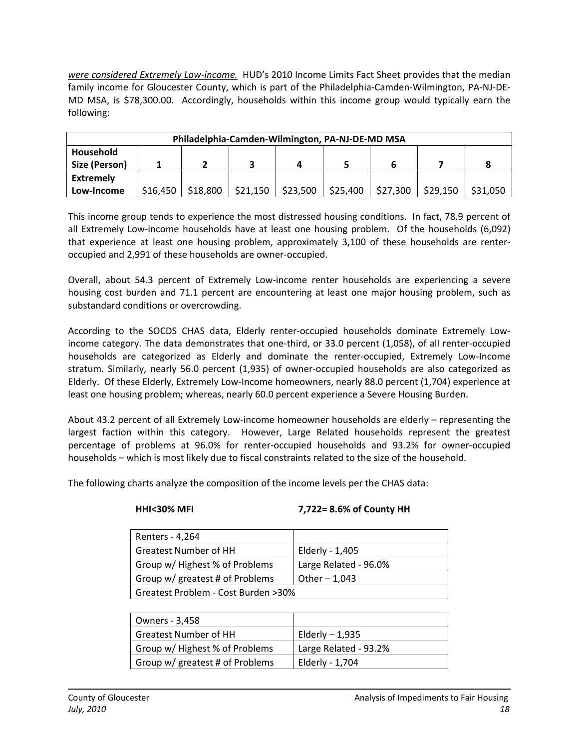*were considered Extremely Low‐income.* HUD's 2010 Income Limits Fact Sheet provides that the median family income for Gloucester County, which is part of the Philadelphia‐Camden‐Wilmington, PA‐NJ‐DE‐ MD MSA, is \$78,300.00. Accordingly, households within this income group would typically earn the following:

| Philadelphia-Camden-Wilmington, PA-NJ-DE-MD MSA |          |          |          |          |          |          |          |          |
|-------------------------------------------------|----------|----------|----------|----------|----------|----------|----------|----------|
| Household<br>Size (Person)                      |          |          |          |          |          |          |          |          |
| <b>Extremely</b>                                |          |          |          |          |          |          |          |          |
| Low-Income                                      | \$16,450 | \$18,800 | \$21,150 | \$23,500 | \$25,400 | \$27,300 | \$29,150 | \$31,050 |

This income group tends to experience the most distressed housing conditions. In fact, 78.9 percent of all Extremely Low-income households have at least one housing problem. Of the households (6,092) that experience at least one housing problem, approximately 3,100 of these households are renter‐ occupied and 2,991 of these households are owner‐occupied.

Overall, about 54.3 percent of Extremely Low‐income renter households are experiencing a severe housing cost burden and 71.1 percent are encountering at least one major housing problem, such as substandard conditions or overcrowding.

According to the SOCDS CHAS data, Elderly renter‐occupied households dominate Extremely Low‐ income category. The data demonstrates that one‐third, or 33.0 percent (1,058), of all renter‐occupied households are categorized as Elderly and dominate the renter‐occupied, Extremely Low‐Income stratum. Similarly, nearly 56.0 percent (1,935) of owner‐occupied households are also categorized as Elderly. Of these Elderly, Extremely Low‐Income homeowners, nearly 88.0 percent (1,704) experience at least one housing problem; whereas, nearly 60.0 percent experience a Severe Housing Burden.

About 43.2 percent of all Extremely Low‐income homeowner households are elderly – representing the largest faction within this category. However, Large Related households represent the greatest percentage of problems at 96.0% for renter‐occupied households and 93.2% for owner‐occupied households – which is most likely due to fiscal constraints related to the size of the household.

The following charts analyze the composition of the income levels per the CHAS data:

#### **HHI<30% MFI 7,722= 8.6% of County HH**

| Renters - 4,264                     |                       |  |
|-------------------------------------|-----------------------|--|
| <b>Greatest Number of HH</b>        | Elderly - 1,405       |  |
| Group w/ Highest % of Problems      | Large Related - 96.0% |  |
| Group w/ greatest # of Problems     | Other $-1,043$        |  |
| Greatest Problem - Cost Burden >30% |                       |  |

| Owners - 3,458                  |                       |
|---------------------------------|-----------------------|
| <b>Greatest Number of HH</b>    | Elderly $-1,935$      |
| Group w/ Highest % of Problems  | Large Related - 93.2% |
| Group w/ greatest # of Problems | Elderly - 1,704       |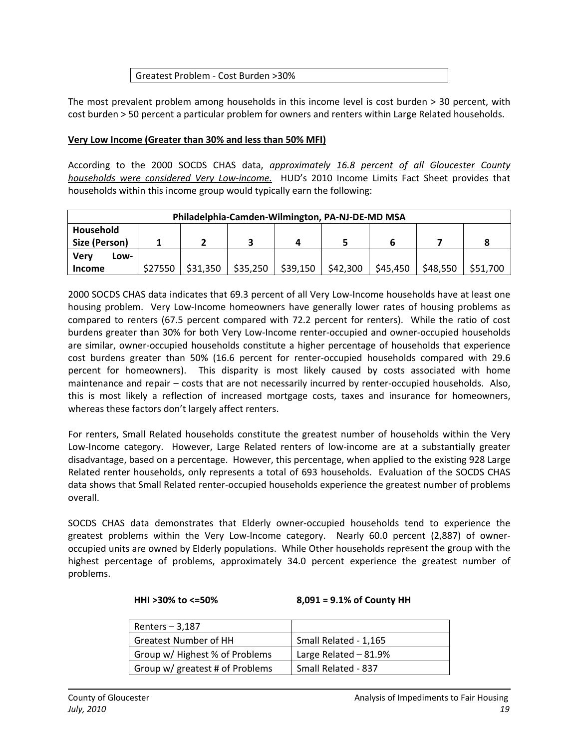#### Greatest Problem ‐ Cost Burden >30%

The most prevalent problem among households in this income level is cost burden > 30 percent, with cost burden > 50 percent a particular problem for owners and renters within Large Related households.

#### **Very Low Income (Greater than 30% and less than 50% MFI)**

According to the 2000 SOCDS CHAS data, *approximately 16.8 percent of all Gloucester County households were considered Very Low‐income.* HUD's 2010 Income Limits Fact Sheet provides that households within this income group would typically earn the following:

| Philadelphia-Camden-Wilmington, PA-NJ-DE-MD MSA |      |         |          |          |          |          |          |          |          |
|-------------------------------------------------|------|---------|----------|----------|----------|----------|----------|----------|----------|
| Household<br>Size (Person)                      |      |         |          |          | д        |          |          |          |          |
| Verv                                            | Low- |         |          |          |          |          |          |          |          |
| <b>Income</b>                                   |      | \$27550 | \$31,350 | \$35,250 | \$39,150 | \$42,300 | \$45,450 | \$48,550 | \$51,700 |

2000 SOCDS CHAS data indicates that 69.3 percent of all Very Low‐Income households have at least one housing problem. Very Low-Income homeowners have generally lower rates of housing problems as compared to renters (67.5 percent compared with 72.2 percent for renters). While the ratio of cost burdens greater than 30% for both Very Low‐Income renter‐occupied and owner‐occupied households are similar, owner-occupied households constitute a higher percentage of households that experience cost burdens greater than 50% (16.6 percent for renter‐occupied households compared with 29.6 percent for homeowners). This disparity is most likely caused by costs associated with home maintenance and repair – costs that are not necessarily incurred by renter-occupied households. Also, this is most likely a reflection of increased mortgage costs, taxes and insurance for homeowners, whereas these factors don't largely affect renters.

For renters, Small Related households constitute the greatest number of households within the Very Low-Income category. However, Large Related renters of low-income are at a substantially greater disadvantage, based on a percentage. However, this percentage, when applied to the existing 928 Large Related renter households, only represents a total of 693 households. Evaluation of the SOCDS CHAS data shows that Small Related renter‐occupied households experience the greatest number of problems overall.

SOCDS CHAS data demonstrates that Elderly owner‐occupied households tend to experience the greatest problems within the Very Low-Income category. Nearly 60.0 percent (2,887) of owneroccupied units are owned by Elderly populations. While Other households represent the group with the highest percentage of problems, approximately 34.0 percent experience the greatest number of problems.

#### **HHI >30% to <=50% 8,091 = 9.1% of County HH**

| Renters $-3,187$                |                       |
|---------------------------------|-----------------------|
| <b>Greatest Number of HH</b>    | Small Related - 1,165 |
| Group w/ Highest % of Problems  | Large Related - 81.9% |
| Group w/ greatest # of Problems | Small Related - 837   |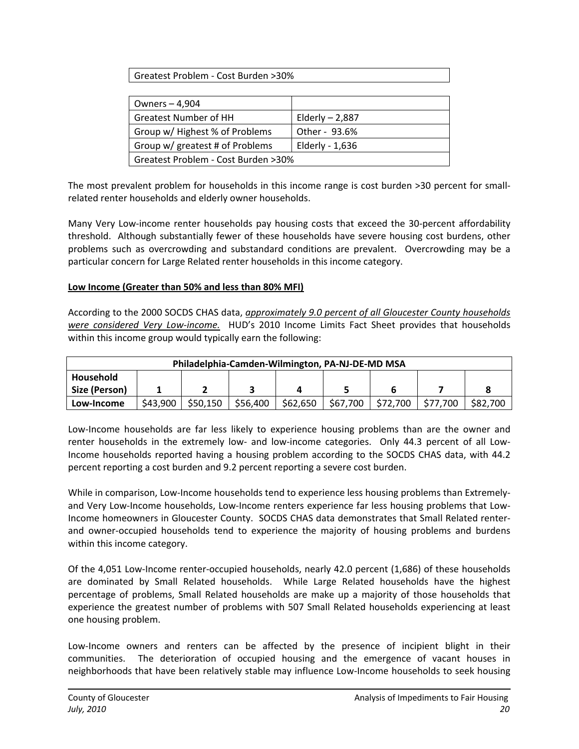Greatest Problem ‐ Cost Burden >30%

| Owners - 4,904                      |                   |  |
|-------------------------------------|-------------------|--|
| <b>Greatest Number of HH</b>        | Elderly $- 2,887$ |  |
| Group w/ Highest % of Problems      | Other - 93.6%     |  |
| Group w/ greatest # of Problems     | Elderly - 1,636   |  |
| Greatest Problem - Cost Burden >30% |                   |  |

The most prevalent problem for households in this income range is cost burden >30 percent for smallrelated renter households and elderly owner households.

Many Very Low-income renter households pay housing costs that exceed the 30-percent affordability threshold. Although substantially fewer of these households have severe housing cost burdens, other problems such as overcrowding and substandard conditions are prevalent. Overcrowding may be a particular concern for Large Related renter households in this income category.

#### **Low Income (Greater than 50% and less than 80% MFI)**

According to the 2000 SOCDS CHAS data, *approximately 9.0 percent of all Gloucester County households were considered Very Low‐income.* HUD's 2010 Income Limits Fact Sheet provides that households within this income group would typically earn the following:

| Philadelphia-Camden-Wilmington, PA-NJ-DE-MD MSA |          |          |          |          |          |          |          |          |
|-------------------------------------------------|----------|----------|----------|----------|----------|----------|----------|----------|
| Household                                       |          |          |          |          |          |          |          |          |
| Size (Person)                                   |          |          |          |          |          |          |          |          |
| Low-Income                                      | \$43.900 | \$50,150 | \$56,400 | \$62,650 | \$67,700 | \$72,700 | \$77,700 | \$82,700 |

Low‐Income households are far less likely to experience housing problems than are the owner and renter households in the extremely low- and low-income categories. Only 44.3 percent of all Low-Income households reported having a housing problem according to the SOCDS CHAS data, with 44.2 percent reporting a cost burden and 9.2 percent reporting a severe cost burden.

While in comparison, Low-Income households tend to experience less housing problems than Extremelyand Very Low-Income households, Low-Income renters experience far less housing problems that Low-Income homeowners in Gloucester County. SOCDS CHAS data demonstrates that Small Related renter‐ and owner-occupied households tend to experience the majority of housing problems and burdens within this income category.

Of the 4,051 Low‐Income renter‐occupied households, nearly 42.0 percent (1,686) of these households are dominated by Small Related households. While Large Related households have the highest percentage of problems, Small Related households are make up a majority of those households that experience the greatest number of problems with 507 Small Related households experiencing at least one housing problem.

Low‐Income owners and renters can be affected by the presence of incipient blight in their communities. The deterioration of occupied housing and the emergence of vacant houses in neighborhoods that have been relatively stable may influence Low‐Income households to seek housing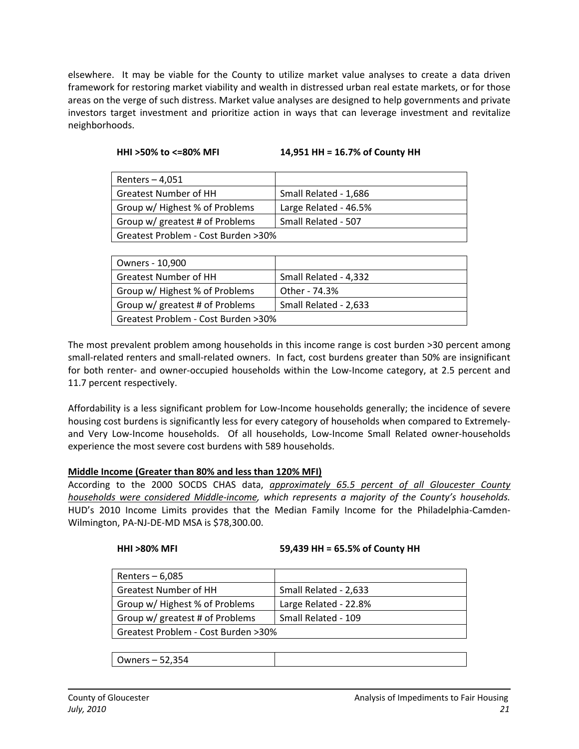elsewhere. It may be viable for the County to utilize market value analyses to create a data driven framework for restoring market viability and wealth in distressed urban real estate markets, or for those areas on the verge of such distress. Market value analyses are designed to help governments and private investors target investment and prioritize action in ways that can leverage investment and revitalize neighborhoods.

| Renters $-4,051$                                       |                       |  |
|--------------------------------------------------------|-----------------------|--|
| <b>Greatest Number of HH</b>                           | Small Related - 1,686 |  |
| Group w/ Highest % of Problems                         | Large Related - 46.5% |  |
| Group w/ greatest # of Problems<br>Small Related - 507 |                       |  |
| Greatest Problem - Cost Burden >30%                    |                       |  |

| Owners - 10,900                     |                       |  |
|-------------------------------------|-----------------------|--|
| <b>Greatest Number of HH</b>        | Small Related - 4,332 |  |
| Group w/ Highest % of Problems      | Other - 74.3%         |  |
| Group w/ greatest # of Problems     | Small Related - 2,633 |  |
| Greatest Problem - Cost Burden >30% |                       |  |

The most prevalent problem among households in this income range is cost burden >30 percent among small-related renters and small-related owners. In fact, cost burdens greater than 50% are insignificant for both renter- and owner-occupied households within the Low-Income category, at 2.5 percent and 11.7 percent respectively.

Affordability is a less significant problem for Low‐Income households generally; the incidence of severe housing cost burdens is significantly less for every category of households when compared to Extremely‐ and Very Low-Income households. Of all households, Low-Income Small Related owner-households experience the most severe cost burdens with 589 households.

#### **Middle Income (Greater than 80% and less than 120% MFI)**

According to the 2000 SOCDS CHAS data, *approximately 65.5 percent of all Gloucester County households were considered Middle‐income, which represents a majority of the County's households.* HUD's 2010 Income Limits provides that the Median Family Income for the Philadelphia‐Camden‐ Wilmington, PA‐NJ‐DE‐MD MSA is \$78,300.00.

#### **HHI >80% MFI 59,439 HH = 65.5% of County HH**

| Renters $-6,085$                    |                       |  |
|-------------------------------------|-----------------------|--|
| <b>Greatest Number of HH</b>        | Small Related - 2,633 |  |
| Group w/ Highest % of Problems      | Large Related - 22.8% |  |
| Group w/ greatest # of Problems     | Small Related - 109   |  |
| Greatest Problem - Cost Burden >30% |                       |  |

Owners – 52,354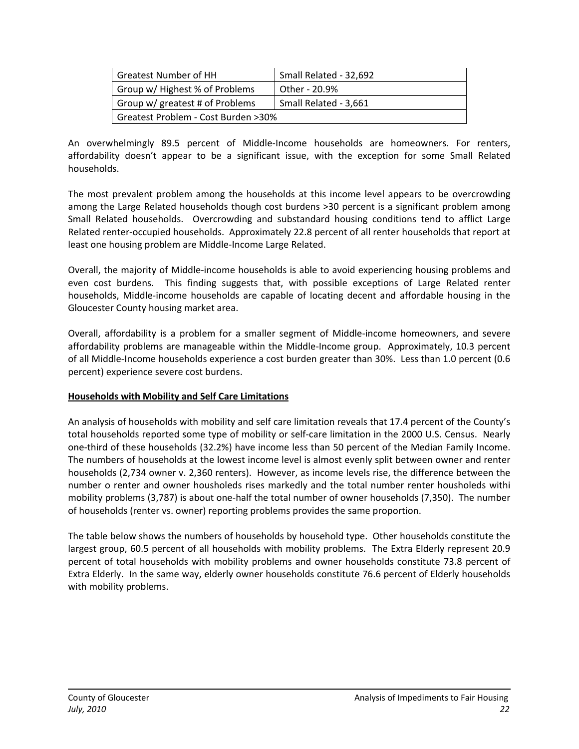| <b>Greatest Number of HH</b>                             | Small Related - 32,692 |  |  |
|----------------------------------------------------------|------------------------|--|--|
| Group w/ Highest % of Problems                           | Other - 20.9%          |  |  |
| Group w/ greatest # of Problems<br>Small Related - 3,661 |                        |  |  |
| Greatest Problem - Cost Burden >30%                      |                        |  |  |

An overwhelmingly 89.5 percent of Middle‐Income households are homeowners. For renters, affordability doesn't appear to be a significant issue, with the exception for some Small Related households.

The most prevalent problem among the households at this income level appears to be overcrowding among the Large Related households though cost burdens >30 percent is a significant problem among Small Related households. Overcrowding and substandard housing conditions tend to afflict Large Related renter‐occupied households. Approximately 22.8 percent of all renter households that report at least one housing problem are Middle‐Income Large Related.

Overall, the majority of Middle‐income households is able to avoid experiencing housing problems and even cost burdens. This finding suggests that, with possible exceptions of Large Related renter households, Middle‐income households are capable of locating decent and affordable housing in the Gloucester County housing market area.

Overall, affordability is a problem for a smaller segment of Middle‐income homeowners, and severe affordability problems are manageable within the Middle‐Income group. Approximately, 10.3 percent of all Middle‐Income households experience a cost burden greater than 30%. Less than 1.0 percent (0.6 percent) experience severe cost burdens.

#### **Households with Mobility and Self Care Limitations**

An analysis of households with mobility and self care limitation reveals that 17.4 percent of the County's total households reported some type of mobility or self‐care limitation in the 2000 U.S. Census. Nearly one‐third of these households (32.2%) have income less than 50 percent of the Median Family Income. The numbers of households at the lowest income level is almost evenly split between owner and renter households (2,734 owner v. 2,360 renters). However, as income levels rise, the difference between the number o renter and owner housholeds rises markedly and the total number renter housholeds withi mobility problems (3,787) is about one‐half the total number of owner households (7,350). The number of households (renter vs. owner) reporting problems provides the same proportion.

The table below shows the numbers of households by household type. Other households constitute the largest group, 60.5 percent of all households with mobility problems. The Extra Elderly represent 20.9 percent of total households with mobility problems and owner households constitute 73.8 percent of Extra Elderly. In the same way, elderly owner households constitute 76.6 percent of Elderly households with mobility problems.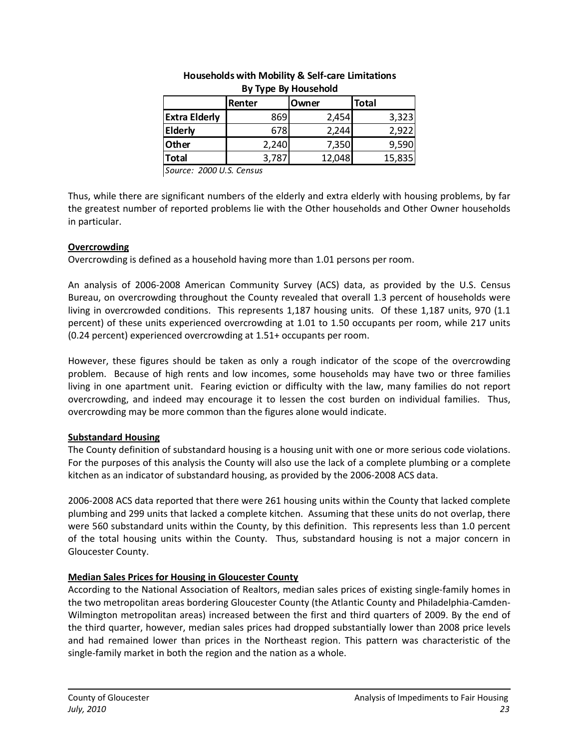|                      | Renter | Owner  | <b>Total</b> |  |  |  |
|----------------------|--------|--------|--------------|--|--|--|
| <b>Extra Elderly</b> | 869    | 2,454  | 3,323        |  |  |  |
| <b>Elderly</b>       | 678    | 2,244  | 2,922        |  |  |  |
| <b>Other</b>         | 2,240  | 7,350  | 9,590        |  |  |  |
| Total                | 3,787  | 12,048 | 15,835       |  |  |  |
|                      |        |        |              |  |  |  |

#### **Households with Mobility & Self‐care Limitations By Type By Household**

*Source: 2000 U.S. Census*

Thus, while there are significant numbers of the elderly and extra elderly with housing problems, by far the greatest number of reported problems lie with the Other households and Other Owner households in particular.

#### **Overcrowding**

Overcrowding is defined as a household having more than 1.01 persons per room.

An analysis of 2006‐2008 American Community Survey (ACS) data, as provided by the U.S. Census Bureau, on overcrowding throughout the County revealed that overall 1.3 percent of households were living in overcrowded conditions. This represents 1,187 housing units. Of these 1,187 units, 970 (1.1 percent) of these units experienced overcrowding at 1.01 to 1.50 occupants per room, while 217 units (0.24 percent) experienced overcrowding at 1.51+ occupants per room.

However, these figures should be taken as only a rough indicator of the scope of the overcrowding problem. Because of high rents and low incomes, some households may have two or three families living in one apartment unit. Fearing eviction or difficulty with the law, many families do not report overcrowding, and indeed may encourage it to lessen the cost burden on individual families. Thus, overcrowding may be more common than the figures alone would indicate.

#### **Substandard Housing**

The County definition of substandard housing is a housing unit with one or more serious code violations. For the purposes of this analysis the County will also use the lack of a complete plumbing or a complete kitchen as an indicator of substandard housing, as provided by the 2006‐2008 ACS data.

2006‐2008 ACS data reported that there were 261 housing units within the County that lacked complete plumbing and 299 units that lacked a complete kitchen. Assuming that these units do not overlap, there were 560 substandard units within the County, by this definition. This represents less than 1.0 percent of the total housing units within the County. Thus, substandard housing is not a major concern in Gloucester County.

#### **Median Sales Prices for Housing in Gloucester County**

According to the National Association of Realtors, median sales prices of existing single‐family homes in the two metropolitan areas bordering Gloucester County (the Atlantic County and Philadelphia‐Camden‐ Wilmington metropolitan areas) increased between the first and third quarters of 2009. By the end of the third quarter, however, median sales prices had dropped substantially lower than 2008 price levels and had remained lower than prices in the Northeast region. This pattern was characteristic of the single-family market in both the region and the nation as a whole.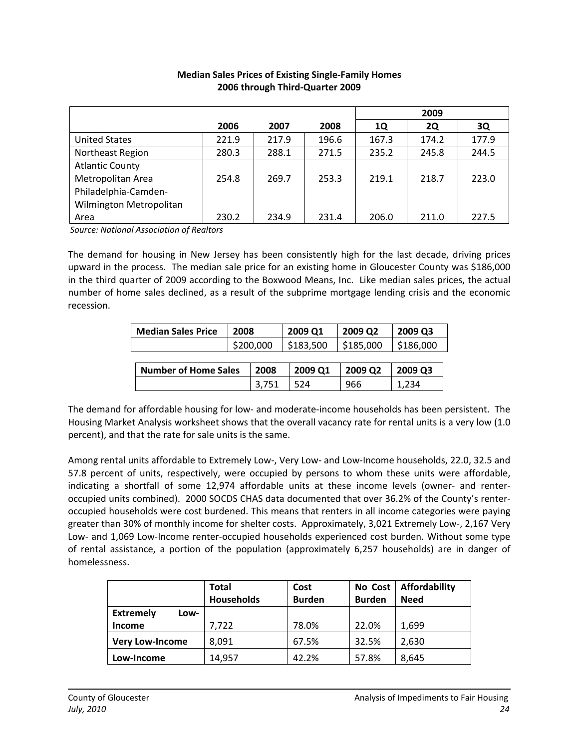|                         |       |       |       |       | 2009      |       |
|-------------------------|-------|-------|-------|-------|-----------|-------|
|                         | 2006  | 2007  | 2008  | 1Q    | <b>2Q</b> | 3Q    |
| <b>United States</b>    | 221.9 | 217.9 | 196.6 | 167.3 | 174.2     | 177.9 |
| Northeast Region        | 280.3 | 288.1 | 271.5 | 235.2 | 245.8     | 244.5 |
| <b>Atlantic County</b>  |       |       |       |       |           |       |
| Metropolitan Area       | 254.8 | 269.7 | 253.3 | 219.1 | 218.7     | 223.0 |
| Philadelphia-Camden-    |       |       |       |       |           |       |
| Wilmington Metropolitan |       |       |       |       |           |       |
| Area                    | 230.2 | 234.9 | 231.4 | 206.0 | 211.0     | 227.5 |

#### **Median Sales Prices of Existing Single‐Family Homes 2006 through Third‐Quarter 2009**

*Source: National Association of Realtors*

The demand for housing in New Jersey has been consistently high for the last decade, driving prices upward in the process. The median sale price for an existing home in Gloucester County was \$186,000 in the third quarter of 2009 according to the Boxwood Means, Inc. Like median sales prices, the actual number of home sales declined, as a result of the subprime mortgage lending crisis and the economic recession.

| <b>Median Sales Price</b>   | 2008      |       | 2009 Q1   | 2009 Q <sub>2</sub> | 2009 Q3   |
|-----------------------------|-----------|-------|-----------|---------------------|-----------|
|                             | \$200,000 |       | \$183,500 | \$185,000           | \$186,000 |
|                             |           |       |           |                     |           |
| <b>Number of Home Sales</b> |           | 2008  | 2009 Q1   | 2009 Q2             | 2009 Q3   |
|                             |           | 3.751 | 524       | 966                 | 1,234     |

The demand for affordable housing for low‐ and moderate‐income households has been persistent. The Housing Market Analysis worksheet shows that the overall vacancy rate for rental units is a very low (1.0 percent), and that the rate for sale units is the same.

Among rental units affordable to Extremely Low‐, Very Low‐ and Low‐Income households, 22.0, 32.5 and 57.8 percent of units, respectively, were occupied by persons to whom these units were affordable, indicating a shortfall of some 12,974 affordable units at these income levels (owner- and renteroccupied units combined). 2000 SOCDS CHAS data documented that over 36.2% of the County's renter‐ occupied households were cost burdened. This means that renters in all income categories were paying greater than 30% of monthly income for shelter costs. Approximately, 3,021 Extremely Low‐, 2,167 Very Low- and 1,069 Low-Income renter-occupied households experienced cost burden. Without some type of rental assistance, a portion of the population (approximately 6,257 households) are in danger of homelessness.

|                          | <b>Total</b>      | Cost          | No Cost       | Affordability |
|--------------------------|-------------------|---------------|---------------|---------------|
|                          | <b>Households</b> | <b>Burden</b> | <b>Burden</b> | <b>Need</b>   |
| <b>Extremely</b><br>Low- |                   |               |               |               |
| Income                   | 7,722             | 78.0%         | 22.0%         | 1,699         |
| <b>Very Low-Income</b>   | 8,091             | 67.5%         | 32.5%         | 2,630         |
| Low-Income               | 14,957            | 42.2%         | 57.8%         | 8,645         |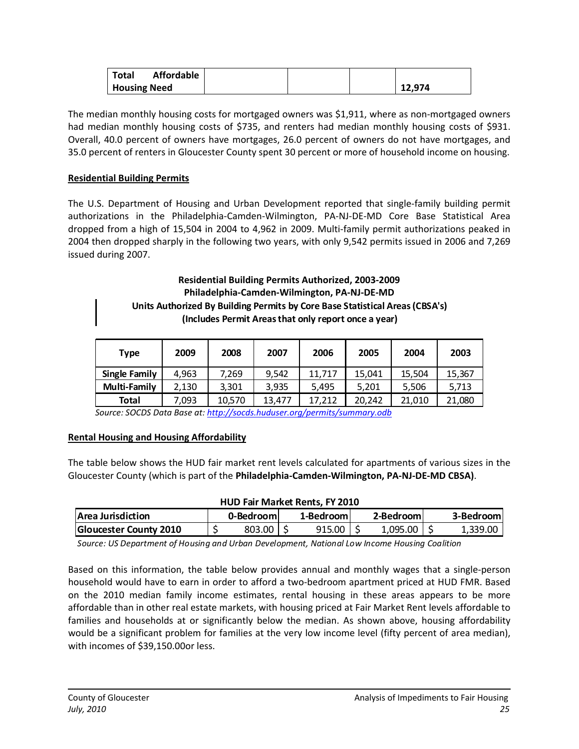| Affordable<br>Total |  |        |
|---------------------|--|--------|
| <b>Housing Need</b> |  | 12.974 |

The median monthly housing costs for mortgaged owners was \$1,911, where as non-mortgaged owners had median monthly housing costs of \$735, and renters had median monthly housing costs of \$931. Overall, 40.0 percent of owners have mortgages, 26.0 percent of owners do not have mortgages, and 35.0 percent of renters in Gloucester County spent 30 percent or more of household income on housing.

#### **Residential Building Permits**

The U.S. Department of Housing and Urban Development reported that single‐family building permit authorizations in the Philadelphia‐Camden‐Wilmington, PA‐NJ‐DE‐MD Core Base Statistical Area dropped from a high of 15,504 in 2004 to 4,962 in 2009. Multi‐family permit authorizations peaked in 2004 then dropped sharply in the following two years, with only 9,542 permits issued in 2006 and 7,269 issued during 2007.

#### **Residential Building Permits Authorized, 2003‐2009 Philadelphia‐Camden‐Wilmington, PA‐NJ‐DE‐MD Units Authorized By Building Permits by Core Base Statistical Areas(CBSA's) (Includes Permit Areasthat only report once a year)**

| Type                 | 2009  | 2008   | 2007   | 2006   | 2005   | 2004   | 2003   |
|----------------------|-------|--------|--------|--------|--------|--------|--------|
| <b>Single Family</b> | 4.963 | 7.269  | 9.542  | 11.717 | 15.041 | 15.504 | 15,367 |
| <b>Multi-Family</b>  | 2,130 | 3,301  | 3.935  | 5.495  | 5.201  | 5.506  | 5,713  |
| <b>Total</b>         | 7,093 | 10.570 | 13.477 | 17.212 | 20.242 | 21.010 | 21,080 |

 *Source: SOCDS Data Base at: <http://socds.huduser.org/permits/summary.odb>*

#### **Rental Housing and Housing Affordability**

The table below shows the HUD fair market rent levels calculated for apartments of various sizes in the Gloucester County (which is part of the **Philadelphia‐Camden‐Wilmington, PA‐NJ‐DE‐MD CBSA)**.

#### **HUD Fair Market Rents, FY 2010**

| <b>Area Jurisdiction</b>      | 0-Bedrooml    | 1-Bedroom | 2-Bedroom. | 3-Bedrooml |
|-------------------------------|---------------|-----------|------------|------------|
| <b>Gloucester County 2010</b> | $803.00$   \$ | 915.00    | 1,095.00   | 1.339.00   |

*Source: US Department of Housing and Urban Development, National Low Income Housing Coalition*

Based on this information, the table below provides annual and monthly wages that a single‐person household would have to earn in order to afford a two-bedroom apartment priced at HUD FMR. Based on the 2010 median family income estimates, rental housing in these areas appears to be more affordable than in other real estate markets, with housing priced at Fair Market Rent levels affordable to families and households at or significantly below the median. As shown above, housing affordability would be a significant problem for families at the very low income level (fifty percent of area median), with incomes of \$39,150.00or less.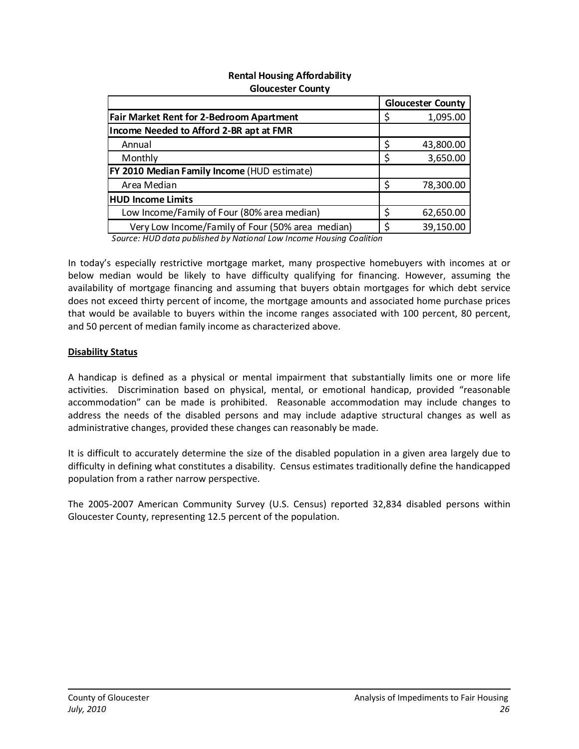#### **Rental Housing Affordability Gloucester County**

|                                                                     |   | <b>Gloucester County</b> |
|---------------------------------------------------------------------|---|--------------------------|
| <b>Fair Market Rent for 2-Bedroom Apartment</b>                     |   | 1,095.00                 |
| Income Needed to Afford 2-BR apt at FMR                             |   |                          |
| Annual                                                              |   | 43,800.00                |
| Monthly                                                             |   | 3,650.00                 |
| <b>FY 2010 Median Family Income (HUD estimate)</b>                  |   |                          |
| Area Median                                                         | Ś | 78,300.00                |
| <b>HUD Income Limits</b>                                            |   |                          |
| Low Income/Family of Four (80% area median)                         |   | 62,650.00                |
| Very Low Income/Family of Four (50% area median)                    | ċ | 39,150.00                |
| Causes, UUD detainublished bu Neticeal Lau Inconsollation Conlition |   |                          |

*Source: HUD data published by National Low Income Housing Coalition*

In today's especially restrictive mortgage market, many prospective homebuyers with incomes at or below median would be likely to have difficulty qualifying for financing. However, assuming the availability of mortgage financing and assuming that buyers obtain mortgages for which debt service does not exceed thirty percent of income, the mortgage amounts and associated home purchase prices that would be available to buyers within the income ranges associated with 100 percent, 80 percent, and 50 percent of median family income as characterized above.

#### **Disability Status**

A handicap is defined as a physical or mental impairment that substantially limits one or more life activities. Discrimination based on physical, mental, or emotional handicap, provided "reasonable accommodation" can be made is prohibited. Reasonable accommodation may include changes to address the needs of the disabled persons and may include adaptive structural changes as well as administrative changes, provided these changes can reasonably be made.

It is difficult to accurately determine the size of the disabled population in a given area largely due to difficulty in defining what constitutes a disability. Census estimates traditionally define the handicapped population from a rather narrow perspective.

The 2005‐2007 American Community Survey (U.S. Census) reported 32,834 disabled persons within Gloucester County, representing 12.5 percent of the population.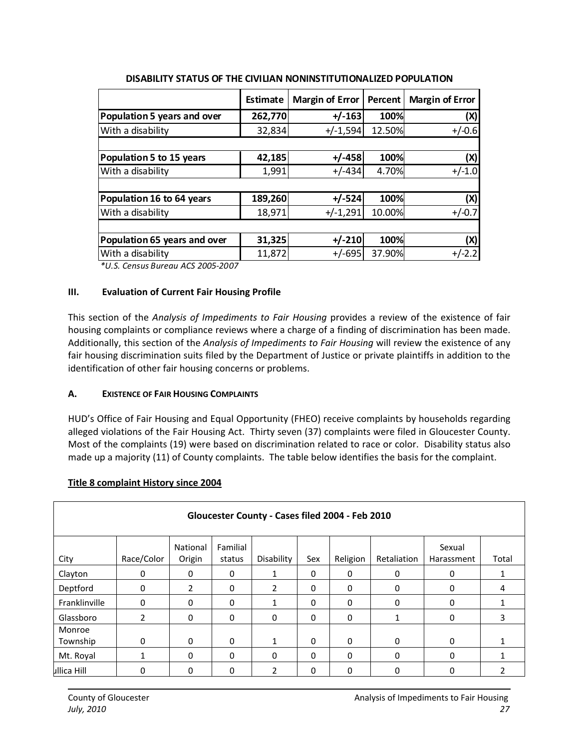| Estimate | <b>Margin of Error</b> | <b>Percent</b>                        | <b>Margin of Error</b>                                     |
|----------|------------------------|---------------------------------------|------------------------------------------------------------|
| 262,770  |                        | 100%                                  | (X)                                                        |
|          |                        | 12.50%                                | $+/-0.6$                                                   |
|          |                        |                                       |                                                            |
|          |                        | 100%                                  | (X)                                                        |
| 1,991    | $+/-434$               | 4.70%                                 | $+/-1.0$                                                   |
|          |                        |                                       |                                                            |
|          |                        | 100%                                  | (X)                                                        |
| 18,971   | $+/-1,291$             | 10.00%                                | $+/-0.7$                                                   |
|          |                        |                                       |                                                            |
|          |                        | 100%                                  | (X)                                                        |
| 11,872   | $+/-695$               | 37.90%                                | $+/-2.2$                                                   |
|          |                        | 32,834<br>42,185<br>189,260<br>31,325 | $+/-163$<br>$+/-1,594$<br>$+/-458$<br>$+/-524$<br>$+/-210$ |

#### **DISABILITY STATUS OF THE CIVILIAN NONINSTITUTIONALIZED POPULATION**

*\*U.S. Census Bureau ACS 2005‐2007*

#### <span id="page-27-0"></span>**III. Evaluation of Current Fair Housing Profile**

This section of the *Analysis of Impediments to Fair Housing* provides a review of the existence of fair housing complaints or compliance reviews where a charge of a finding of discrimination has been made. Additionally, this section of the *Analysis of Impediments to Fair Housing* will review the existence of any fair housing discrimination suits filed by the Department of Justice or private plaintiffs in addition to the identification of other fair housing concerns or problems.

#### <span id="page-27-1"></span>**A. EXISTENCE OF FAIR HOUSING COMPLAINTS**

HUD's Office of Fair Housing and Equal Opportunity (FHEO) receive complaints by households regarding alleged violations of the Fair Housing Act. Thirty seven (37) complaints were filed in Gloucester County. Most of the complaints (19) were based on discrimination related to race or color. Disability status also made up a majority (11) of County complaints. The table below identifies the basis for the complaint.

#### **Title 8 complaint History since 2004**

| Gloucester County - Cases filed 2004 - Feb 2010 |                          |                    |                    |                |     |          |              |                      |       |  |  |
|-------------------------------------------------|--------------------------|--------------------|--------------------|----------------|-----|----------|--------------|----------------------|-------|--|--|
| City                                            | Race/Color               | National<br>Origin | Familial<br>status | Disability     | Sex | Religion | Retaliation  | Sexual<br>Harassment | Total |  |  |
| Clayton                                         | 0                        | 0                  | 0                  |                | 0   | $\Omega$ | 0            | 0                    |       |  |  |
| Deptford                                        | 0                        | $\overline{2}$     | 0                  | $\overline{2}$ | 0   | $\Omega$ | 0            | 0                    | 4     |  |  |
| Franklinville                                   | 0                        | $\Omega$           | 0                  | 1              | 0   | $\Omega$ | 0            | $\Omega$             |       |  |  |
| Glassboro                                       | $\overline{\mathcal{L}}$ | $\Omega$           | $\mathbf 0$        | $\Omega$       | 0   | $\Omega$ | 1            | $\Omega$             | 3     |  |  |
| Monroe<br>Township                              | $\Omega$                 | $\Omega$           | 0                  | 1              | 0   | $\Omega$ | $\mathbf{0}$ | $\Omega$             |       |  |  |
| Mt. Royal                                       | 1                        | $\Omega$           | 0                  | $\Omega$       | 0   | $\Omega$ | 0            | $\Omega$             |       |  |  |
| ullica Hill                                     | 0                        | 0                  | 0                  | 2              | 0   | 0        | 0            |                      |       |  |  |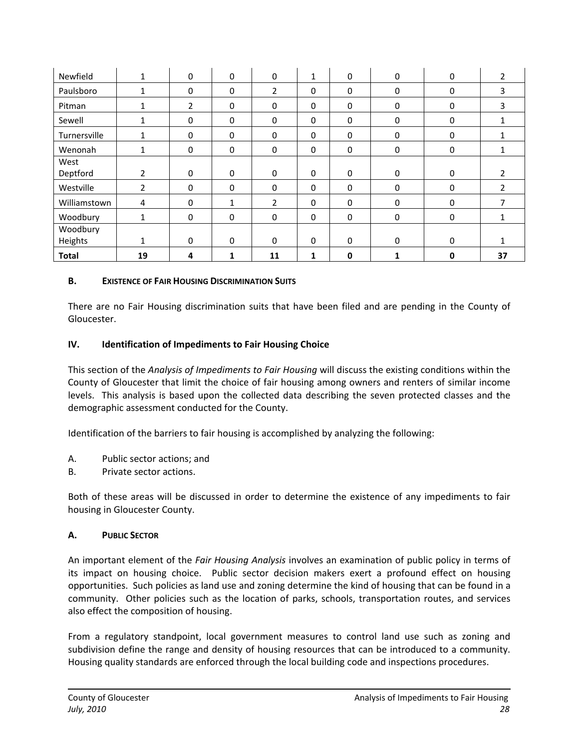| Newfield     | $\mathbf{1}$   | $\mathbf 0$ | $\mathbf 0$ | 0              | $\mathbf{1}$ | $\mathbf 0$ | 0                | $\mathbf 0$ | $\overline{2}$ |
|--------------|----------------|-------------|-------------|----------------|--------------|-------------|------------------|-------------|----------------|
| Paulsboro    | $\mathbf 1$    | 0           | 0           | $\overline{2}$ | 0            | 0           | $\boldsymbol{0}$ | $\Omega$    | 3              |
| Pitman       | $\mathbf{1}$   | 2           | $\pmb{0}$   | $\mathbf 0$    | $\mathbf 0$  | $\mathbf 0$ | 0                | $\mathbf 0$ | 3              |
| Sewell       | $\mathbf{1}$   | 0           | $\pmb{0}$   | 0              | 0            | $\mathbf 0$ | $\mathbf 0$      | 0           |                |
| Turnersville | 1              | $\mathbf 0$ | $\mathbf 0$ | 0              | 0            | $\mathbf 0$ | $\mathbf 0$      | $\Omega$    |                |
| Wenonah      | $\mathbf{1}$   | 0           | 0           | 0              | 0            | $\mathbf 0$ | 0                | 0           | 1              |
| West         |                |             |             |                |              |             |                  |             |                |
| Deptford     | $\overline{2}$ | 0           | 0           | $\mathbf 0$    | 0            | $\mathbf 0$ | 0                | 0           |                |
| Westville    | $\overline{2}$ | 0           | $\mathbf 0$ | $\Omega$       | 0            | $\Omega$    | $\mathbf 0$      | $\Omega$    | $\mathfrak{p}$ |
| Williamstown | 4              | 0           | 1           | $\overline{2}$ | 0            | $\Omega$    | $\mathbf 0$      | $\Omega$    | 7              |
| Woodbury     | 1              | 0           | 0           | $\mathbf 0$    | $\mathbf 0$  | $\mathbf 0$ | $\mathbf 0$      | $\mathbf 0$ | 1              |
| Woodbury     |                |             |             |                |              |             |                  |             |                |
| Heights      | $\mathbf{1}$   | $\Omega$    | 0           | $\Omega$       | $\Omega$     | $\mathbf 0$ | $\mathbf 0$      | $\Omega$    |                |
| <b>Total</b> | 19             | 4           | 1           | 11             | 1            | O           |                  | 0           | 37             |

#### <span id="page-28-0"></span>**B. EXISTENCE OF FAIR HOUSING DISCRIMINATION SUITS**

There are no Fair Housing discrimination suits that have been filed and are pending in the County of Gloucester.

#### <span id="page-28-1"></span>**IV. Identification of Impediments to Fair Housing Choice**

This section of the *Analysis of Impediments to Fair Housing* will discuss the existing conditions within the County of Gloucester that limit the choice of fair housing among owners and renters of similar income levels. This analysis is based upon the collected data describing the seven protected classes and the demographic assessment conducted for the County.

Identification of the barriers to fair housing is accomplished by analyzing the following:

- A. Public sector actions; and
- B. Private sector actions.

Both of these areas will be discussed in order to determine the existence of any impediments to fair housing in Gloucester County.

#### <span id="page-28-2"></span>**A. PUBLIC SECTOR**

An important element of the *Fair Housing Analysis* involves an examination of public policy in terms of its impact on housing choice. Public sector decision makers exert a profound effect on housing opportunities. Such policies as land use and zoning determine the kind of housing that can be found in a community. Other policies such as the location of parks, schools, transportation routes, and services also effect the composition of housing.

From a regulatory standpoint, local government measures to control land use such as zoning and subdivision define the range and density of housing resources that can be introduced to a community. Housing quality standards are enforced through the local building code and inspections procedures.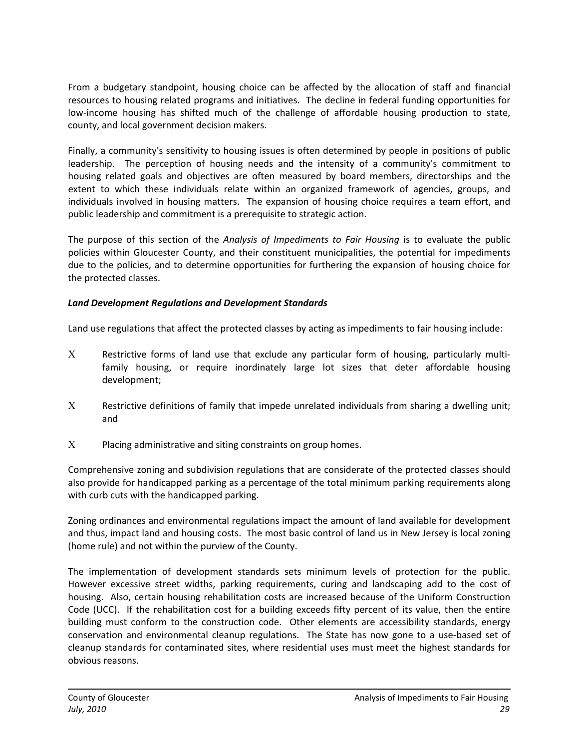From a budgetary standpoint, housing choice can be affected by the allocation of staff and financial resources to housing related programs and initiatives. The decline in federal funding opportunities for low-income housing has shifted much of the challenge of affordable housing production to state, county, and local government decision makers.

Finally, a community's sensitivity to housing issues is often determined by people in positions of public leadership. The perception of housing needs and the intensity of a community's commitment to housing related goals and objectives are often measured by board members, directorships and the extent to which these individuals relate within an organized framework of agencies, groups, and individuals involved in housing matters. The expansion of housing choice requires a team effort, and public leadership and commitment is a prerequisite to strategic action.

The purpose of this section of the *Analysis of Impediments to Fair Housing* is to evaluate the public policies within Gloucester County, and their constituent municipalities, the potential for impediments due to the policies, and to determine opportunities for furthering the expansion of housing choice for the protected classes.

#### <span id="page-29-0"></span>*Land Development Regulations and Development Standards*

Land use regulations that affect the protected classes by acting as impediments to fair housing include:

- Restrictive forms of land use that exclude any particular form of housing, particularly multi‐ family housing, or require inordinately large lot sizes that deter affordable housing development;
- $X$  Restrictive definitions of family that impede unrelated individuals from sharing a dwelling unit; and
- $X$  Placing administrative and siting constraints on group homes.

Comprehensive zoning and subdivision regulations that are considerate of the protected classes should also provide for handicapped parking as a percentage of the total minimum parking requirements along with curb cuts with the handicapped parking.

Zoning ordinances and environmental regulations impact the amount of land available for development and thus, impact land and housing costs. The most basic control of land us in New Jersey is local zoning (home rule) and not within the purview of the County.

The implementation of development standards sets minimum levels of protection for the public. However excessive street widths, parking requirements, curing and landscaping add to the cost of housing. Also, certain housing rehabilitation costs are increased because of the Uniform Construction Code (UCC). If the rehabilitation cost for a building exceeds fifty percent of its value, then the entire building must conform to the construction code. Other elements are accessibility standards, energy conservation and environmental cleanup regulations. The State has now gone to a use-based set of cleanup standards for contaminated sites, where residential uses must meet the highest standards for obvious reasons.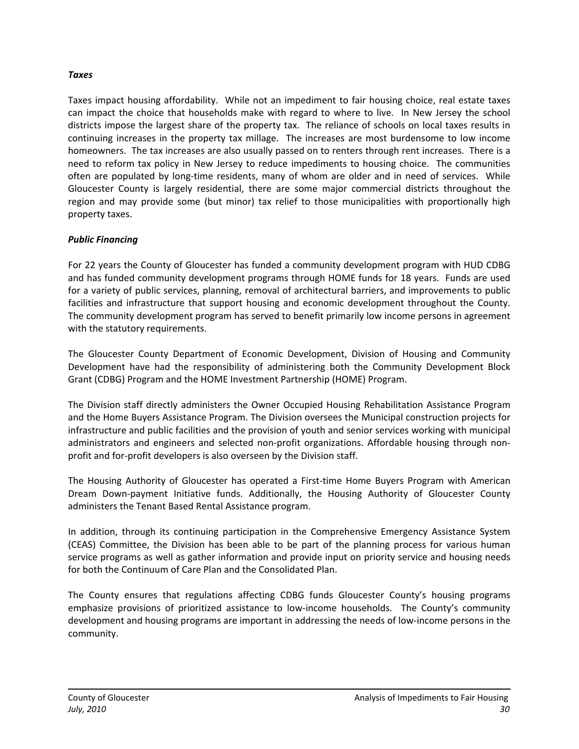#### <span id="page-30-0"></span>*Taxes*

Taxes impact housing affordability. While not an impediment to fair housing choice, real estate taxes can impact the choice that households make with regard to where to live. In New Jersey the school districts impose the largest share of the property tax. The reliance of schools on local taxes results in continuing increases in the property tax millage. The increases are most burdensome to low income homeowners. The tax increases are also usually passed on to renters through rent increases. There is a need to reform tax policy in New Jersey to reduce impediments to housing choice. The communities often are populated by long-time residents, many of whom are older and in need of services. While Gloucester County is largely residential, there are some major commercial districts throughout the region and may provide some (but minor) tax relief to those municipalities with proportionally high property taxes.

#### <span id="page-30-1"></span>*Public Financing*

For 22 years the County of Gloucester has funded a community development program with HUD CDBG and has funded community development programs through HOME funds for 18 years. Funds are used for a variety of public services, planning, removal of architectural barriers, and improvements to public facilities and infrastructure that support housing and economic development throughout the County. The community development program has served to benefit primarily low income persons in agreement with the statutory requirements.

The Gloucester County Department of Economic Development, Division of Housing and Community Development have had the responsibility of administering both the Community Development Block Grant (CDBG) Program and the HOME Investment Partnership (HOME) Program.

The Division staff directly administers the Owner Occupied Housing Rehabilitation Assistance Program and the Home Buyers Assistance Program. The Division oversees the Municipal construction projects for infrastructure and public facilities and the provision of youth and senior services working with municipal administrators and engineers and selected non-profit organizations. Affordable housing through nonprofit and for‐profit developers is also overseen by the Division staff.

The Housing Authority of Gloucester has operated a First‐time Home Buyers Program with American Dream Down‐payment Initiative funds. Additionally, the Housing Authority of Gloucester County administers the Tenant Based Rental Assistance program.

In addition, through its continuing participation in the Comprehensive Emergency Assistance System (CEAS) Committee, the Division has been able to be part of the planning process for various human service programs as well as gather information and provide input on priority service and housing needs for both the Continuum of Care Plan and the Consolidated Plan.

The County ensures that regulations affecting CDBG funds Gloucester County's housing programs emphasize provisions of prioritized assistance to low-income households. The County's community development and housing programs are important in addressing the needs of low‐income persons in the community.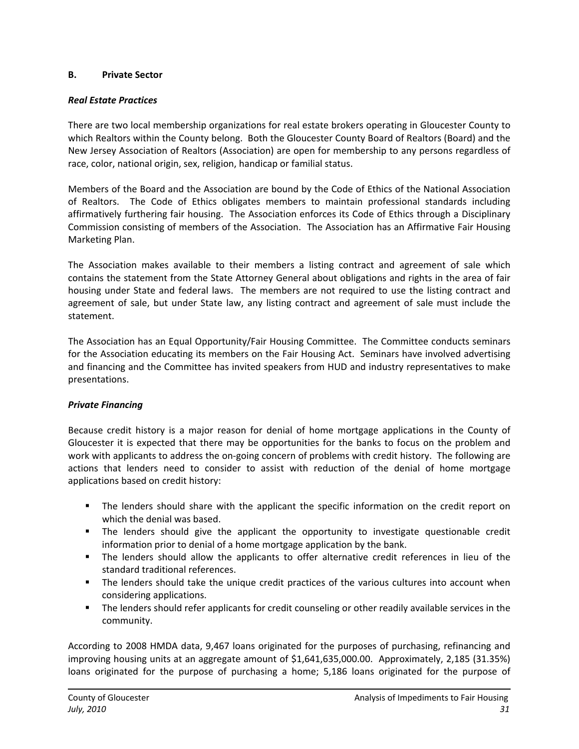#### <span id="page-31-0"></span>**B. Private Sector**

#### <span id="page-31-1"></span>*Real Estate Practices*

There are two local membership organizations for real estate brokers operating in Gloucester County to which Realtors within the County belong. Both the Gloucester County Board of Realtors (Board) and the New Jersey Association of Realtors (Association) are open for membership to any persons regardless of race, color, national origin, sex, religion, handicap or familial status.

Members of the Board and the Association are bound by the Code of Ethics of the National Association of Realtors. The Code of Ethics obligates members to maintain professional standards including affirmatively furthering fair housing. The Association enforces its Code of Ethics through a Disciplinary Commission consisting of members of the Association. The Association has an Affirmative Fair Housing Marketing Plan.

The Association makes available to their members a listing contract and agreement of sale which contains the statement from the State Attorney General about obligations and rights in the area of fair housing under State and federal laws. The members are not required to use the listing contract and agreement of sale, but under State law, any listing contract and agreement of sale must include the statement.

The Association has an Equal Opportunity/Fair Housing Committee. The Committee conducts seminars for the Association educating its members on the Fair Housing Act. Seminars have involved advertising and financing and the Committee has invited speakers from HUD and industry representatives to make presentations.

#### <span id="page-31-2"></span>*Private Financing*

Because credit history is a major reason for denial of home mortgage applications in the County of Gloucester it is expected that there may be opportunities for the banks to focus on the problem and work with applicants to address the on-going concern of problems with credit history. The following are actions that lenders need to consider to assist with reduction of the denial of home mortgage applications based on credit history:

- The lenders should share with the applicant the specific information on the credit report on which the denial was based.
- The lenders should give the applicant the opportunity to investigate questionable credit information prior to denial of a home mortgage application by the bank.
- The lenders should allow the applicants to offer alternative credit references in lieu of the standard traditional references.
- The lenders should take the unique credit practices of the various cultures into account when considering applications.
- **The lenders should refer applicants for credit counseling or other readily available services in the** community.

According to 2008 HMDA data, 9,467 loans originated for the purposes of purchasing, refinancing and improving housing units at an aggregate amount of \$1,641,635,000.00. Approximately, 2,185 (31.35%) loans originated for the purpose of purchasing a home; 5,186 loans originated for the purpose of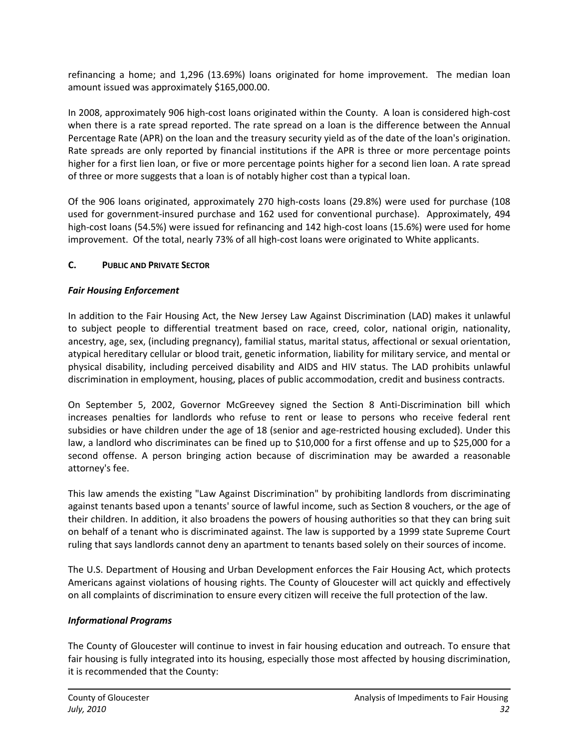refinancing a home; and 1,296 (13.69%) loans originated for home improvement. The median loan amount issued was approximately \$165,000.00.

In 2008, approximately 906 high‐cost loans originated within the County. A loan is considered high‐cost when there is a rate spread reported. The rate spread on a loan is the difference between the Annual Percentage Rate (APR) on the loan and the treasury security yield as of the date of the loan's origination. Rate spreads are only reported by financial institutions if the APR is three or more percentage points higher for a first lien loan, or five or more percentage points higher for a second lien loan. A rate spread of three or more suggests that a loan is of notably higher cost than a typical loan.

Of the 906 loans originated, approximately 270 high‐costs loans (29.8%) were used for purchase (108 used for government‐insured purchase and 162 used for conventional purchase). Approximately, 494 high-cost loans (54.5%) were issued for refinancing and 142 high-cost loans (15.6%) were used for home improvement. Of the total, nearly 73% of all high‐cost loans were originated to White applicants.

#### <span id="page-32-0"></span>**C. PUBLIC AND PRIVATE SECTOR**

#### <span id="page-32-1"></span>*Fair Housing Enforcement*

In addition to the Fair Housing Act, the New Jersey Law Against Discrimination (LAD) makes it unlawful to subject people to differential treatment based on race, creed, color, national origin, nationality, ancestry, age, sex, (including pregnancy), familial status, marital status, affectional or sexual orientation, atypical hereditary cellular or blood trait, genetic information, liability for military service, and mental or physical disability, including perceived disability and AIDS and HIV status. The LAD prohibits unlawful discrimination in employment, housing, places of public accommodation, credit and business contracts.

On September 5, 2002, Governor McGreevey signed the Section 8 Anti‐Discrimination bill which increases penalties for landlords who refuse to rent or lease to persons who receive federal rent subsidies or have children under the age of 18 (senior and age-restricted housing excluded). Under this law, a landlord who discriminates can be fined up to \$10,000 for a first offense and up to \$25,000 for a second offense. A person bringing action because of discrimination may be awarded a reasonable attorney's fee.

This law amends the existing "Law Against Discrimination" by prohibiting landlords from discriminating against tenants based upon a tenants' source of lawful income, such as Section 8 vouchers, or the age of their children. In addition, it also broadens the powers of housing authorities so that they can bring suit on behalf of a tenant who is discriminated against. The law is supported by a 1999 state Supreme Court ruling that says landlords cannot deny an apartment to tenants based solely on their sources of income.

The U.S. Department of Housing and Urban Development enforces the Fair Housing Act, which protects Americans against violations of housing rights. The County of Gloucester will act quickly and effectively on all complaints of discrimination to ensure every citizen will receive the full protection of the law.

#### <span id="page-32-2"></span>*Informational Programs*

The County of Gloucester will continue to invest in fair housing education and outreach. To ensure that fair housing is fully integrated into its housing, especially those most affected by housing discrimination, it is recommended that the County: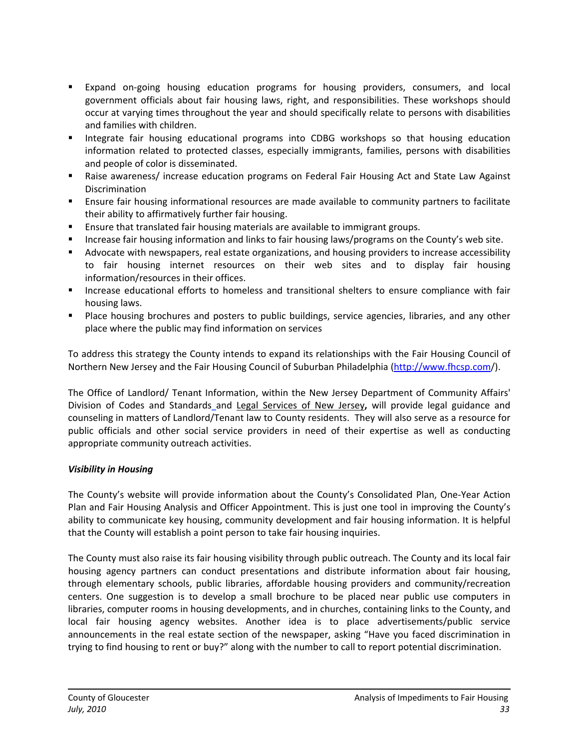- Expand on-going housing education programs for housing providers, consumers, and local government officials about fair housing laws, right, and responsibilities. These workshops should occur at varying times throughout the year and should specifically relate to persons with disabilities and families with children.
- Integrate fair housing educational programs into CDBG workshops so that housing education information related to protected classes, especially immigrants, families, persons with disabilities and people of color is disseminated.
- Raise awareness/ increase education programs on Federal Fair Housing Act and State Law Against Discrimination
- Ensure fair housing informational resources are made available to community partners to facilitate their ability to affirmatively further fair housing.
- **E** Ensure that translated fair housing materials are available to immigrant groups.
- Increase fair housing information and links to fair housing laws/programs on the County's web site.
- Advocate with newspapers, real estate organizations, and housing providers to increase accessibility to fair housing internet resources on their web sites and to display fair housing information/resources in their offices.
- **Increase educational efforts to homeless and transitional shelters to ensure compliance with fair** housing laws.
- **Place housing brochures and posters to public buildings, service agencies, libraries, and any other** place where the public may find information on services

To address this strategy the County intends to expand its relationships with the Fair Housing Council of Northern New Jersey and the Fair Housing Council of Suburban Philadelphia ([http://www.fhcsp.com](http://www.fhcsp.com/)/).

The Office of Landlord/ Tenant Information, within the New Jersey Department of Community Affairs' Division of Codes and Standards and Legal [Services](http://www.lsnj.org/) of New Jersey**,** will provide legal guidance and counseling in matters of Landlord/Tenant law to County residents. They will also serve as a resource for public officials and other social service providers in need of their expertise as well as conducting appropriate community outreach activities.

#### <span id="page-33-0"></span>*Visibility in Housing*

The County's website will provide information about the County's Consolidated Plan, One‐Year Action Plan and Fair Housing Analysis and Officer Appointment. This is just one tool in improving the County's ability to communicate key housing, community development and fair housing information. It is helpful that the County will establish a point person to take fair housing inquiries.

The County must also raise its fair housing visibility through public outreach. The County and its local fair housing agency partners can conduct presentations and distribute information about fair housing, through elementary schools, public libraries, affordable housing providers and community/recreation centers. One suggestion is to develop a small brochure to be placed near public use computers in libraries, computer rooms in housing developments, and in churches, containing links to the County, and local fair housing agency websites. Another idea is to place advertisements/public service announcements in the real estate section of the newspaper, asking "Have you faced discrimination in trying to find housing to rent or buy?" along with the number to call to report potential discrimination.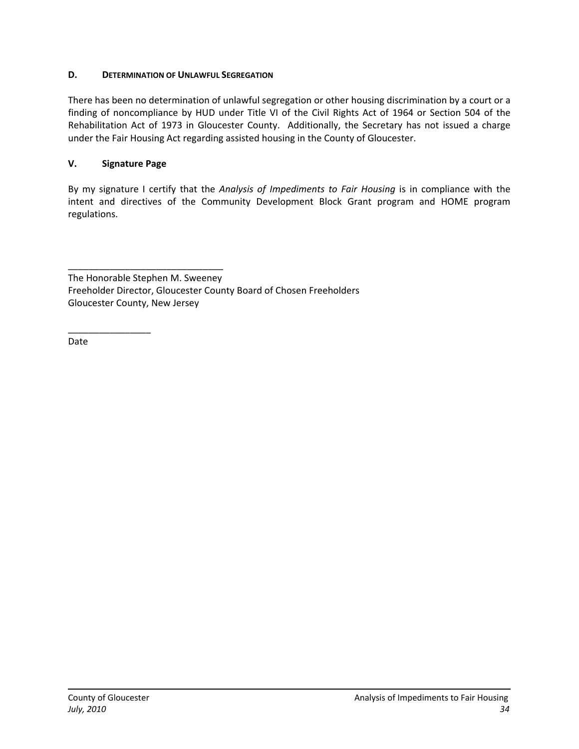#### <span id="page-34-0"></span>**D. DETERMINATION OF UNLAWFUL SEGREGATION**

There has been no determination of unlawful segregation or other housing discrimination by a court or a finding of noncompliance by HUD under Title VI of the Civil Rights Act of 1964 or Section 504 of the Rehabilitation Act of 1973 in Gloucester County. Additionally, the Secretary has not issued a charge under the Fair Housing Act regarding assisted housing in the County of Gloucester.

#### <span id="page-34-1"></span>**V. Signature Page**

\_\_\_\_\_\_\_\_\_\_\_\_\_\_\_\_\_\_\_\_\_\_\_\_\_\_\_\_\_\_

By my signature I certify that the *Analysis of Impediments to Fair Housing* is in compliance with the intent and directives of the Community Development Block Grant program and HOME program regulations.

The Honorable Stephen M. Sweeney Freeholder Director, Gloucester County Board of Chosen Freeholders Gloucester County, New Jersey

Date

\_\_\_\_\_\_\_\_\_\_\_\_\_\_\_\_